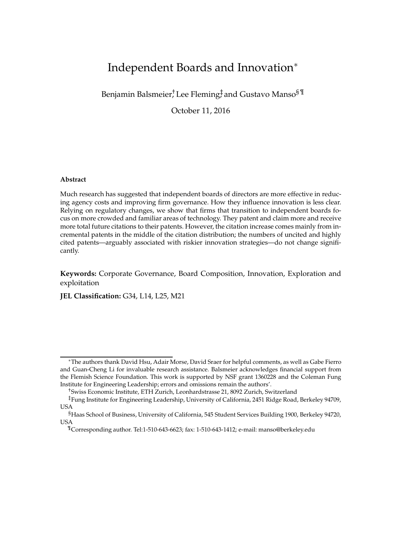# Independent Boards and Innovation<sup>∗</sup>

Benjamin Balsmeier, Lee Fleming‡and Gustavo Manso ${\rm ^{\$}}{\rm ^{\$}}$ 

October 11, 2016

### **Abstract**

Much research has suggested that independent boards of directors are more effective in reducing agency costs and improving firm governance. How they influence innovation is less clear. Relying on regulatory changes, we show that firms that transition to independent boards focus on more crowded and familiar areas of technology. They patent and claim more and receive more total future citations to their patents. However, the citation increase comes mainly from incremental patents in the middle of the citation distribution; the numbers of uncited and highly cited patents—arguably associated with riskier innovation strategies—do not change significantly.

**Keywords:** Corporate Governance, Board Composition, Innovation, Exploration and exploitation

**JEL Classification:** G34, L14, L25, M21

<sup>∗</sup>The authors thank David Hsu, Adair Morse, David Sraer for helpful comments, as well as Gabe Fierro and Guan-Cheng Li for invaluable research assistance. Balsmeier acknowledges financial support from the Flemish Science Foundation. This work is supported by NSF grant 1360228 and the Coleman Fung Institute for Engineering Leadership; errors and omissions remain the authors'.

<sup>†</sup>Swiss Economic Institute, ETH Zurich, Leonhardstrasse 21, 8092 Zurich, Switzerland

<sup>‡</sup>Fung Institute for Engineering Leadership, University of California, 2451 Ridge Road, Berkeley 94709, USA

<sup>§</sup>Haas School of Business, University of California, 545 Student Services Building 1900, Berkeley 94720, USA

<sup>¶</sup>Corresponding author. Tel:1-510-643-6623; fax: 1-510-643-1412; e-mail: manso@berkeley.edu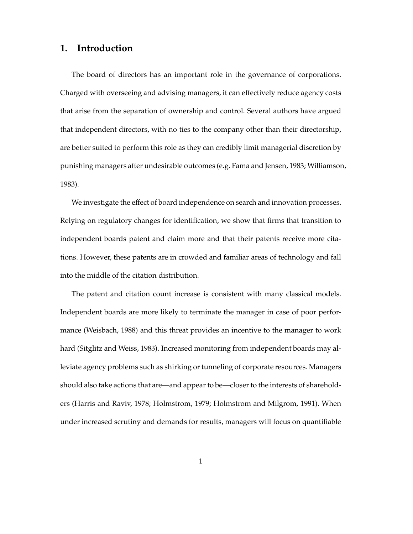# **1. Introduction**

The board of directors has an important role in the governance of corporations. Charged with overseeing and advising managers, it can effectively reduce agency costs that arise from the separation of ownership and control. Several authors have argued that independent directors, with no ties to the company other than their directorship, are better suited to perform this role as they can credibly limit managerial discretion by punishing managers after undesirable outcomes (e.g. Fama and Jensen, 1983; Williamson, 1983).

We investigate the effect of board independence on search and innovation processes. Relying on regulatory changes for identification, we show that firms that transition to independent boards patent and claim more and that their patents receive more citations. However, these patents are in crowded and familiar areas of technology and fall into the middle of the citation distribution.

The patent and citation count increase is consistent with many classical models. Independent boards are more likely to terminate the manager in case of poor performance (Weisbach, 1988) and this threat provides an incentive to the manager to work hard (Sitglitz and Weiss, 1983). Increased monitoring from independent boards may alleviate agency problems such as shirking or tunneling of corporate resources. Managers should also take actions that are—and appear to be—closer to the interests of shareholders (Harris and Raviv, 1978; Holmstrom, 1979; Holmstrom and Milgrom, 1991). When under increased scrutiny and demands for results, managers will focus on quantifiable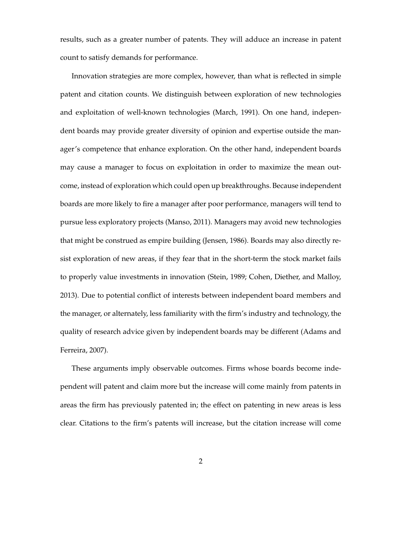results, such as a greater number of patents. They will adduce an increase in patent count to satisfy demands for performance.

Innovation strategies are more complex, however, than what is reflected in simple patent and citation counts. We distinguish between exploration of new technologies and exploitation of well-known technologies (March, 1991). On one hand, independent boards may provide greater diversity of opinion and expertise outside the manager's competence that enhance exploration. On the other hand, independent boards may cause a manager to focus on exploitation in order to maximize the mean outcome, instead of exploration which could open up breakthroughs. Because independent boards are more likely to fire a manager after poor performance, managers will tend to pursue less exploratory projects (Manso, 2011). Managers may avoid new technologies that might be construed as empire building (Jensen, 1986). Boards may also directly resist exploration of new areas, if they fear that in the short-term the stock market fails to properly value investments in innovation (Stein, 1989; Cohen, Diether, and Malloy, 2013). Due to potential conflict of interests between independent board members and the manager, or alternately, less familiarity with the firm's industry and technology, the quality of research advice given by independent boards may be different (Adams and Ferreira, 2007).

These arguments imply observable outcomes. Firms whose boards become independent will patent and claim more but the increase will come mainly from patents in areas the firm has previously patented in; the effect on patenting in new areas is less clear. Citations to the firm's patents will increase, but the citation increase will come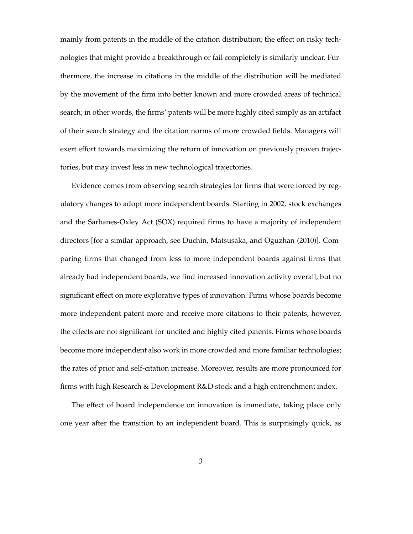mainly from patents in the middle of the citation distribution; the effect on risky technologies that might provide a breakthrough or fail completely is similarly unclear. Furthermore, the increase in citations in the middle of the distribution will be mediated by the movement of the firm into better known and more crowded areas of technical search; in other words, the firms' patents will be more highly cited simply as an artifact of their search strategy and the citation norms of more crowded fields. Managers will exert effort towards maximizing the return of innovation on previously proven trajectories, but may invest less in new technological trajectories.

Evidence comes from observing search strategies for firms that were forced by regulatory changes to adopt more independent boards. Starting in 2002, stock exchanges and the Sarbanes-Oxley Act (SOX) required firms to have a majority of independent directors [for a similar approach, see Duchin, Matsusaka, and Oguzhan (2010)]. Comparing firms that changed from less to more independent boards against firms that already had independent boards, we find increased innovation activity overall, but no significant effect on more explorative types of innovation. Firms whose boards become more independent patent more and receive more citations to their patents, however, the effects are not significant for uncited and highly cited patents. Firms whose boards become more independent also work in more crowded and more familiar technologies; the rates of prior and self-citation increase. Moreover, results are more pronounced for firms with high Research & Development R&D stock and a high entrenchment index.

The effect of board independence on innovation is immediate, taking place only one year after the transition to an independent board. This is surprisingly quick, as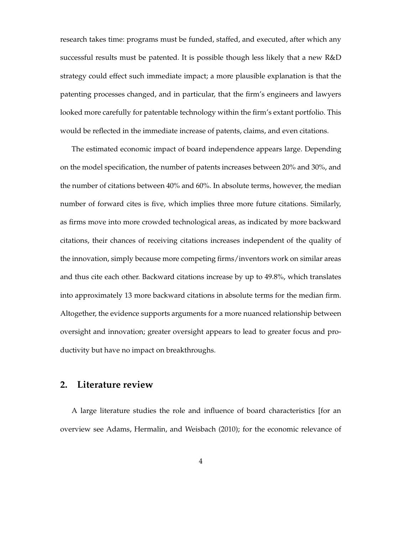research takes time: programs must be funded, staffed, and executed, after which any successful results must be patented. It is possible though less likely that a new R&D strategy could effect such immediate impact; a more plausible explanation is that the patenting processes changed, and in particular, that the firm's engineers and lawyers looked more carefully for patentable technology within the firm's extant portfolio. This would be reflected in the immediate increase of patents, claims, and even citations.

The estimated economic impact of board independence appears large. Depending on the model specification, the number of patents increases between 20% and 30%, and the number of citations between 40% and 60%. In absolute terms, however, the median number of forward cites is five, which implies three more future citations. Similarly, as firms move into more crowded technological areas, as indicated by more backward citations, their chances of receiving citations increases independent of the quality of the innovation, simply because more competing firms/inventors work on similar areas and thus cite each other. Backward citations increase by up to 49.8%, which translates into approximately 13 more backward citations in absolute terms for the median firm. Altogether, the evidence supports arguments for a more nuanced relationship between oversight and innovation; greater oversight appears to lead to greater focus and productivity but have no impact on breakthroughs.

# **2. Literature review**

A large literature studies the role and influence of board characteristics [for an overview see Adams, Hermalin, and Weisbach (2010); for the economic relevance of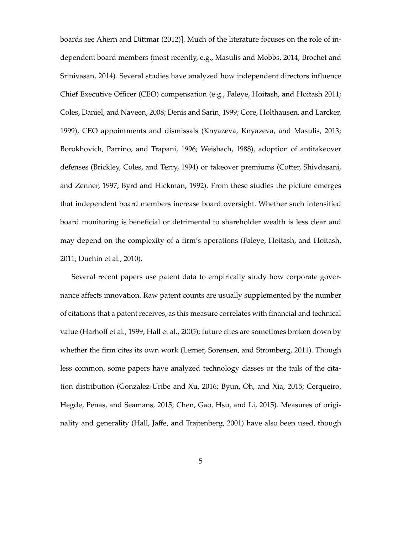boards see Ahern and Dittmar (2012)]. Much of the literature focuses on the role of independent board members (most recently, e.g., Masulis and Mobbs, 2014; Brochet and Srinivasan, 2014). Several studies have analyzed how independent directors influence Chief Executive Officer (CEO) compensation (e.g., Faleye, Hoitash, and Hoitash 2011; Coles, Daniel, and Naveen, 2008; Denis and Sarin, 1999; Core, Holthausen, and Larcker, 1999), CEO appointments and dismissals (Knyazeva, Knyazeva, and Masulis, 2013; Borokhovich, Parrino, and Trapani, 1996; Weisbach, 1988), adoption of antitakeover defenses (Brickley, Coles, and Terry, 1994) or takeover premiums (Cotter, Shivdasani, and Zenner, 1997; Byrd and Hickman, 1992). From these studies the picture emerges that independent board members increase board oversight. Whether such intensified board monitoring is beneficial or detrimental to shareholder wealth is less clear and may depend on the complexity of a firm's operations (Faleye, Hoitash, and Hoitash, 2011; Duchin et al., 2010).

Several recent papers use patent data to empirically study how corporate governance affects innovation. Raw patent counts are usually supplemented by the number of citations that a patent receives, as this measure correlates with financial and technical value (Harhoff et al., 1999; Hall et al., 2005); future cites are sometimes broken down by whether the firm cites its own work (Lerner, Sorensen, and Stromberg, 2011). Though less common, some papers have analyzed technology classes or the tails of the citation distribution (Gonzalez-Uribe and Xu, 2016; Byun, Oh, and Xia, 2015; Cerqueiro, Hegde, Penas, and Seamans, 2015; Chen, Gao, Hsu, and Li, 2015). Measures of originality and generality (Hall, Jaffe, and Trajtenberg, 2001) have also been used, though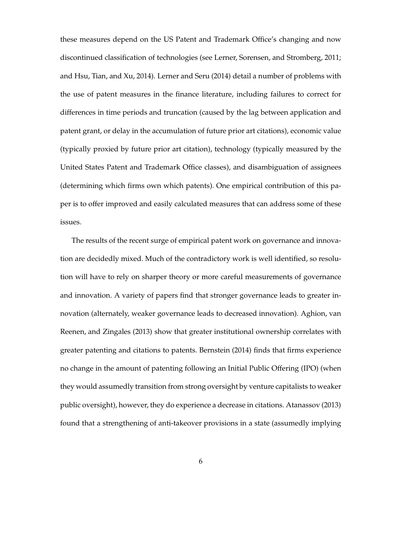these measures depend on the US Patent and Trademark Office's changing and now discontinued classification of technologies (see Lerner, Sorensen, and Stromberg, 2011; and Hsu, Tian, and Xu, 2014). Lerner and Seru (2014) detail a number of problems with the use of patent measures in the finance literature, including failures to correct for differences in time periods and truncation (caused by the lag between application and patent grant, or delay in the accumulation of future prior art citations), economic value (typically proxied by future prior art citation), technology (typically measured by the United States Patent and Trademark Office classes), and disambiguation of assignees (determining which firms own which patents). One empirical contribution of this paper is to offer improved and easily calculated measures that can address some of these issues.

The results of the recent surge of empirical patent work on governance and innovation are decidedly mixed. Much of the contradictory work is well identified, so resolution will have to rely on sharper theory or more careful measurements of governance and innovation. A variety of papers find that stronger governance leads to greater innovation (alternately, weaker governance leads to decreased innovation). Aghion, van Reenen, and Zingales (2013) show that greater institutional ownership correlates with greater patenting and citations to patents. Bernstein (2014) finds that firms experience no change in the amount of patenting following an Initial Public Offering (IPO) (when they would assumedly transition from strong oversight by venture capitalists to weaker public oversight), however, they do experience a decrease in citations. Atanassov (2013) found that a strengthening of anti-takeover provisions in a state (assumedly implying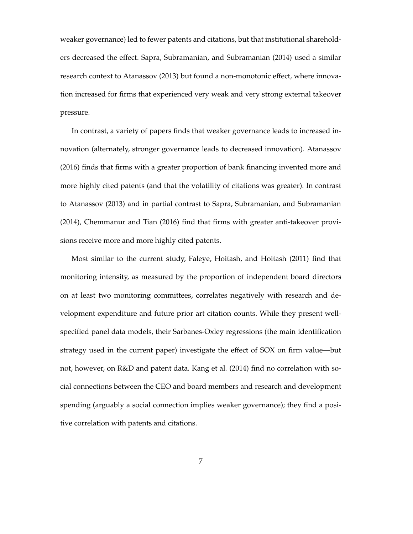weaker governance) led to fewer patents and citations, but that institutional shareholders decreased the effect. Sapra, Subramanian, and Subramanian (2014) used a similar research context to Atanassov (2013) but found a non-monotonic effect, where innovation increased for firms that experienced very weak and very strong external takeover pressure.

In contrast, a variety of papers finds that weaker governance leads to increased innovation (alternately, stronger governance leads to decreased innovation). Atanassov (2016) finds that firms with a greater proportion of bank financing invented more and more highly cited patents (and that the volatility of citations was greater). In contrast to Atanassov (2013) and in partial contrast to Sapra, Subramanian, and Subramanian (2014), Chemmanur and Tian (2016) find that firms with greater anti-takeover provisions receive more and more highly cited patents.

Most similar to the current study, Faleye, Hoitash, and Hoitash (2011) find that monitoring intensity, as measured by the proportion of independent board directors on at least two monitoring committees, correlates negatively with research and development expenditure and future prior art citation counts. While they present wellspecified panel data models, their Sarbanes-Oxley regressions (the main identification strategy used in the current paper) investigate the effect of SOX on firm value—but not, however, on R&D and patent data. Kang et al. (2014) find no correlation with social connections between the CEO and board members and research and development spending (arguably a social connection implies weaker governance); they find a positive correlation with patents and citations.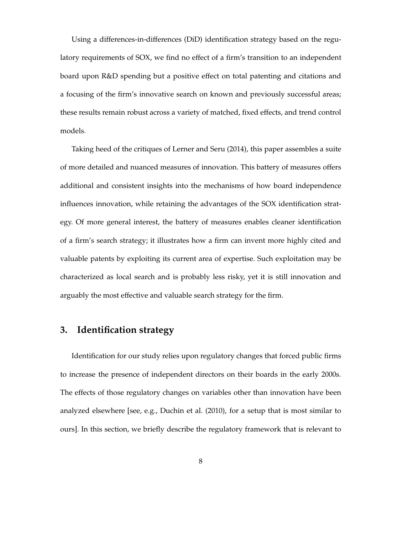Using a differences-in-differences (DiD) identification strategy based on the regulatory requirements of SOX, we find no effect of a firm's transition to an independent board upon R&D spending but a positive effect on total patenting and citations and a focusing of the firm's innovative search on known and previously successful areas; these results remain robust across a variety of matched, fixed effects, and trend control models.

Taking heed of the critiques of Lerner and Seru (2014), this paper assembles a suite of more detailed and nuanced measures of innovation. This battery of measures offers additional and consistent insights into the mechanisms of how board independence influences innovation, while retaining the advantages of the SOX identification strategy. Of more general interest, the battery of measures enables cleaner identification of a firm's search strategy; it illustrates how a firm can invent more highly cited and valuable patents by exploiting its current area of expertise. Such exploitation may be characterized as local search and is probably less risky, yet it is still innovation and arguably the most effective and valuable search strategy for the firm.

# **3. Identification strategy**

Identification for our study relies upon regulatory changes that forced public firms to increase the presence of independent directors on their boards in the early 2000s. The effects of those regulatory changes on variables other than innovation have been analyzed elsewhere [see, e.g., Duchin et al. (2010), for a setup that is most similar to ours]. In this section, we briefly describe the regulatory framework that is relevant to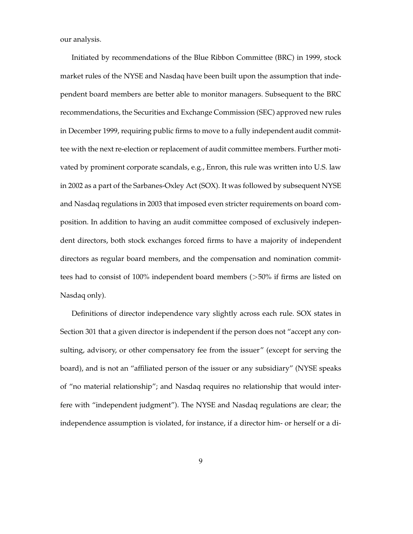our analysis.

Initiated by recommendations of the Blue Ribbon Committee (BRC) in 1999, stock market rules of the NYSE and Nasdaq have been built upon the assumption that independent board members are better able to monitor managers. Subsequent to the BRC recommendations, the Securities and Exchange Commission (SEC) approved new rules in December 1999, requiring public firms to move to a fully independent audit committee with the next re-election or replacement of audit committee members. Further motivated by prominent corporate scandals, e.g., Enron, this rule was written into U.S. law in 2002 as a part of the Sarbanes-Oxley Act (SOX). It was followed by subsequent NYSE and Nasdaq regulations in 2003 that imposed even stricter requirements on board composition. In addition to having an audit committee composed of exclusively independent directors, both stock exchanges forced firms to have a majority of independent directors as regular board members, and the compensation and nomination committees had to consist of 100% independent board members (>50% if firms are listed on Nasdaq only).

Definitions of director independence vary slightly across each rule. SOX states in Section 301 that a given director is independent if the person does not "accept any consulting, advisory, or other compensatory fee from the issuer" (except for serving the board), and is not an "affiliated person of the issuer or any subsidiary" (NYSE speaks of "no material relationship"; and Nasdaq requires no relationship that would interfere with "independent judgment"). The NYSE and Nasdaq regulations are clear; the independence assumption is violated, for instance, if a director him- or herself or a di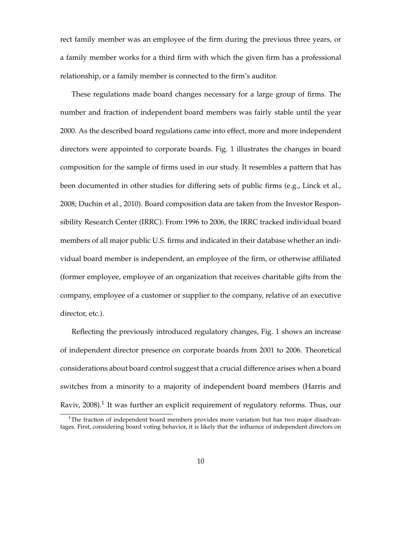rect family member was an employee of the firm during the previous three years, or a family member works for a third firm with which the given firm has a professional relationship, or a family member is connected to the firm's auditor.

These regulations made board changes necessary for a large group of firms. The number and fraction of independent board members was fairly stable until the year 2000. As the described board regulations came into effect, more and more independent directors were appointed to corporate boards. Fig. 1 illustrates the changes in board composition for the sample of firms used in our study. It resembles a pattern that has been documented in other studies for differing sets of public firms (e.g., Linck et al., 2008; Duchin et al., 2010). Board composition data are taken from the Investor Responsibility Research Center (IRRC). From 1996 to 2006, the IRRC tracked individual board members of all major public U.S. firms and indicated in their database whether an individual board member is independent, an employee of the firm, or otherwise affiliated (former employee, employee of an organization that receives charitable gifts from the company, employee of a customer or supplier to the company, relative of an executive director, etc.).

Reflecting the previously introduced regulatory changes, Fig. 1 shows an increase of independent director presence on corporate boards from 2001 to 2006. Theoretical considerations about board control suggest that a crucial difference arises when a board switches from a minority to a majority of independent board members (Harris and Raviv, 2008). $^1$  It was further an explicit requirement of regulatory reforms. Thus, our

<sup>&</sup>lt;sup>1</sup>The fraction of independent board members provides more variation but has two major disadvantages. First, considering board voting behavior, it is likely that the influence of independent directors on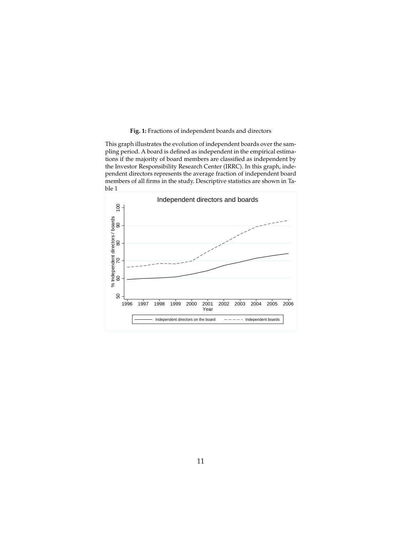### **Fig. 1:** Fractions of independent boards and directors

This graph illustrates the evolution of independent boards over the sampling period. A board is defined as independent in the empirical estimations if the majority of board members are classified as independent by the Investor Responsibility Research Center (IRRC). In this graph, independent directors represents the average fraction of independent board members of all firms in the study. Descriptive statistics are shown in Table 1

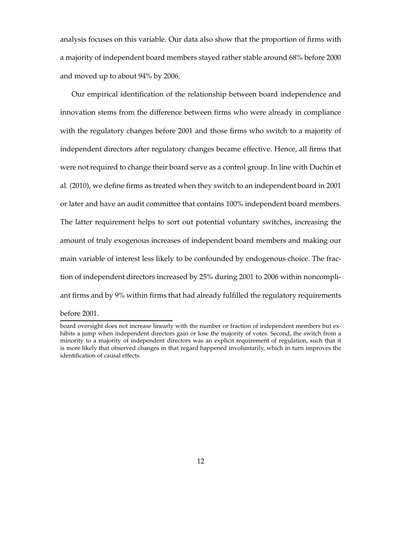analysis focuses on this variable. Our data also show that the proportion of firms with a majority of independent board members stayed rather stable around 68% before 2000 and moved up to about 94% by 2006.

Our empirical identification of the relationship between board independence and innovation stems from the difference between firms who were already in compliance with the regulatory changes before 2001 and those firms who switch to a majority of independent directors after regulatory changes became effective. Hence, all firms that were not required to change their board serve as a control group. In line with Duchin et al. (2010), we define firms as treated when they switch to an independent board in 2001 or later and have an audit committee that contains 100% independent board members. The latter requirement helps to sort out potential voluntary switches, increasing the amount of truly exogenous increases of independent board members and making our main variable of interest less likely to be confounded by endogenous choice. The fraction of independent directors increased by 25% during 2001 to 2006 within noncompliant firms and by 9% within firms that had already fulfilled the regulatory requirements

before 2001.

board oversight does not increase linearly with the number or fraction of independent members but exhibits a jump when independent directors gain or lose the majority of votes. Second, the switch from a minority to a majority of independent directors was an explicit requirement of regulation, such that it is more likely that observed changes in that regard happened involuntarily, which in turn improves the identification of causal effects.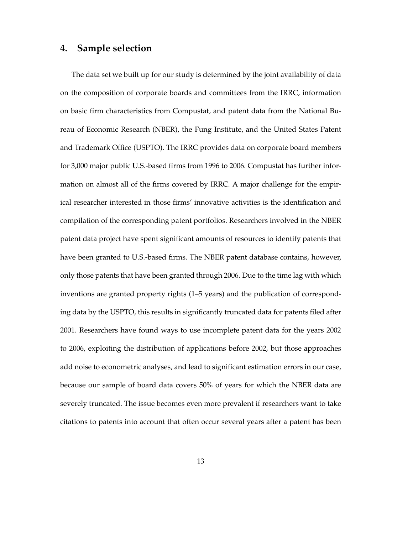# **4. Sample selection**

The data set we built up for our study is determined by the joint availability of data on the composition of corporate boards and committees from the IRRC, information on basic firm characteristics from Compustat, and patent data from the National Bureau of Economic Research (NBER), the Fung Institute, and the United States Patent and Trademark Office (USPTO). The IRRC provides data on corporate board members for 3,000 major public U.S.-based firms from 1996 to 2006. Compustat has further information on almost all of the firms covered by IRRC. A major challenge for the empirical researcher interested in those firms' innovative activities is the identification and compilation of the corresponding patent portfolios. Researchers involved in the NBER patent data project have spent significant amounts of resources to identify patents that have been granted to U.S.-based firms. The NBER patent database contains, however, only those patents that have been granted through 2006. Due to the time lag with which inventions are granted property rights (1–5 years) and the publication of corresponding data by the USPTO, this results in significantly truncated data for patents filed after 2001. Researchers have found ways to use incomplete patent data for the years 2002 to 2006, exploiting the distribution of applications before 2002, but those approaches add noise to econometric analyses, and lead to significant estimation errors in our case, because our sample of board data covers 50% of years for which the NBER data are severely truncated. The issue becomes even more prevalent if researchers want to take citations to patents into account that often occur several years after a patent has been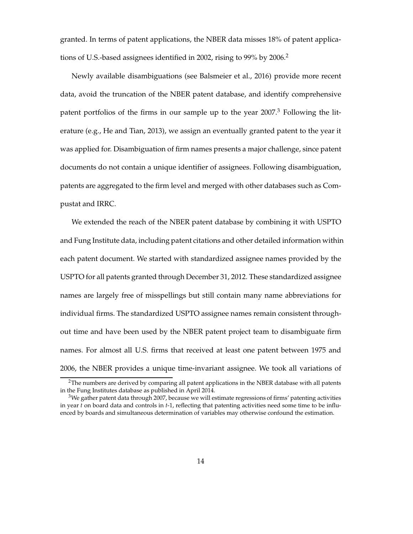granted. In terms of patent applications, the NBER data misses 18% of patent applications of U.S.-based assignees identified in 2002, rising to 99% by 2006.<sup>2</sup>

Newly available disambiguations (see Balsmeier et al., 2016) provide more recent data, avoid the truncation of the NBER patent database, and identify comprehensive patent portfolios of the firms in our sample up to the year  $2007$ <sup>3</sup> Following the literature (e.g., He and Tian, 2013), we assign an eventually granted patent to the year it was applied for. Disambiguation of firm names presents a major challenge, since patent documents do not contain a unique identifier of assignees. Following disambiguation, patents are aggregated to the firm level and merged with other databases such as Compustat and IRRC.

We extended the reach of the NBER patent database by combining it with USPTO and Fung Institute data, including patent citations and other detailed information within each patent document. We started with standardized assignee names provided by the USPTO for all patents granted through December 31, 2012. These standardized assignee names are largely free of misspellings but still contain many name abbreviations for individual firms. The standardized USPTO assignee names remain consistent throughout time and have been used by the NBER patent project team to disambiguate firm names. For almost all U.S. firms that received at least one patent between 1975 and 2006, the NBER provides a unique time-invariant assignee. We took all variations of

 $2$ The numbers are derived by comparing all patent applications in the NBER database with all patents in the Fung Institutes database as published in April 2014.

 $3$ We gather patent data through 2007, because we will estimate regressions of firms' patenting activities in year *t* on board data and controls in *t*-1, reflecting that patenting activities need some time to be influenced by boards and simultaneous determination of variables may otherwise confound the estimation.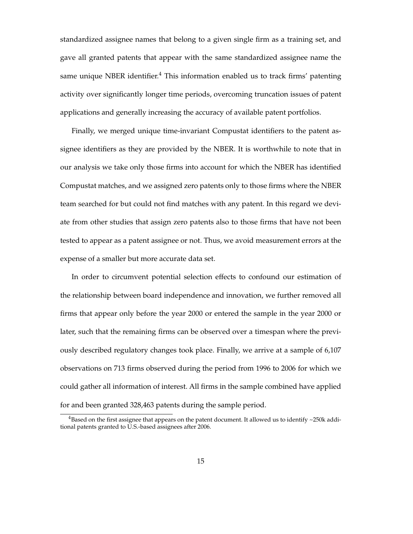standardized assignee names that belong to a given single firm as a training set, and gave all granted patents that appear with the same standardized assignee name the same unique NBER identifier. $4$  This information enabled us to track firms' patenting activity over significantly longer time periods, overcoming truncation issues of patent applications and generally increasing the accuracy of available patent portfolios.

Finally, we merged unique time-invariant Compustat identifiers to the patent assignee identifiers as they are provided by the NBER. It is worthwhile to note that in our analysis we take only those firms into account for which the NBER has identified Compustat matches, and we assigned zero patents only to those firms where the NBER team searched for but could not find matches with any patent. In this regard we deviate from other studies that assign zero patents also to those firms that have not been tested to appear as a patent assignee or not. Thus, we avoid measurement errors at the expense of a smaller but more accurate data set.

In order to circumvent potential selection effects to confound our estimation of the relationship between board independence and innovation, we further removed all firms that appear only before the year 2000 or entered the sample in the year 2000 or later, such that the remaining firms can be observed over a timespan where the previously described regulatory changes took place. Finally, we arrive at a sample of 6,107 observations on 713 firms observed during the period from 1996 to 2006 for which we could gather all information of interest. All firms in the sample combined have applied for and been granted 328,463 patents during the sample period.

 $4$ Based on the first assignee that appears on the patent document. It allowed us to identify  $\sim$ 250k additional patents granted to U.S.-based assignees after 2006.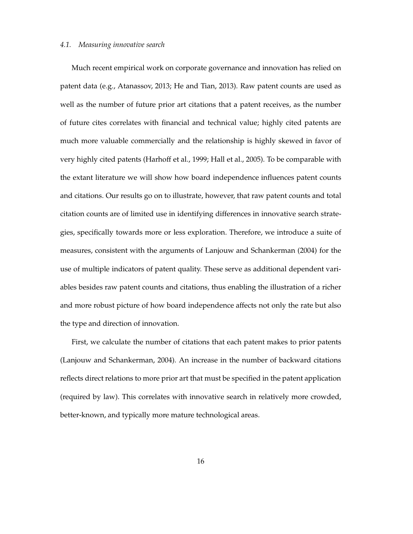### *4.1. Measuring innovative search*

Much recent empirical work on corporate governance and innovation has relied on patent data (e.g., Atanassov, 2013; He and Tian, 2013). Raw patent counts are used as well as the number of future prior art citations that a patent receives, as the number of future cites correlates with financial and technical value; highly cited patents are much more valuable commercially and the relationship is highly skewed in favor of very highly cited patents (Harhoff et al., 1999; Hall et al., 2005). To be comparable with the extant literature we will show how board independence influences patent counts and citations. Our results go on to illustrate, however, that raw patent counts and total citation counts are of limited use in identifying differences in innovative search strategies, specifically towards more or less exploration. Therefore, we introduce a suite of measures, consistent with the arguments of Lanjouw and Schankerman (2004) for the use of multiple indicators of patent quality. These serve as additional dependent variables besides raw patent counts and citations, thus enabling the illustration of a richer and more robust picture of how board independence affects not only the rate but also the type and direction of innovation.

First, we calculate the number of citations that each patent makes to prior patents (Lanjouw and Schankerman, 2004). An increase in the number of backward citations reflects direct relations to more prior art that must be specified in the patent application (required by law). This correlates with innovative search in relatively more crowded, better-known, and typically more mature technological areas.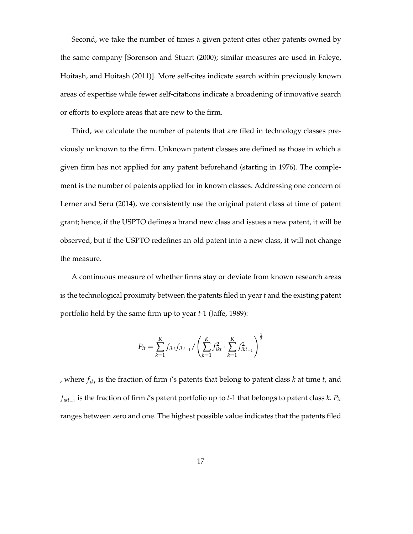Second, we take the number of times a given patent cites other patents owned by the same company [Sorenson and Stuart (2000); similar measures are used in Faleye, Hoitash, and Hoitash (2011)]. More self-cites indicate search within previously known areas of expertise while fewer self-citations indicate a broadening of innovative search or efforts to explore areas that are new to the firm.

Third, we calculate the number of patents that are filed in technology classes previously unknown to the firm. Unknown patent classes are defined as those in which a given firm has not applied for any patent beforehand (starting in 1976). The complement is the number of patents applied for in known classes. Addressing one concern of Lerner and Seru (2014), we consistently use the original patent class at time of patent grant; hence, if the USPTO defines a brand new class and issues a new patent, it will be observed, but if the USPTO redefines an old patent into a new class, it will not change the measure.

A continuous measure of whether firms stay or deviate from known research areas is the technological proximity between the patents filed in year *t* and the existing patent portfolio held by the same firm up to year *t*-1 (Jaffe, 1989):

$$
P_{it} = \sum_{k=1}^{K} f_{ikt} f_{ikt_{-1}} / \left( \sum_{k=1}^{K} f_{ikt}^2 \cdot \sum_{k=1}^{K} f_{ikt_{-1}}^2 \right)^{\frac{1}{2}}
$$

, where *fikt* is the fraction of firm *i*'s patents that belong to patent class *k* at time *t*, and *fikt*−<sup>1</sup> is the fraction of firm *i*'s patent portfolio up to *t*-1 that belongs to patent class *k*. *Pit* ranges between zero and one. The highest possible value indicates that the patents filed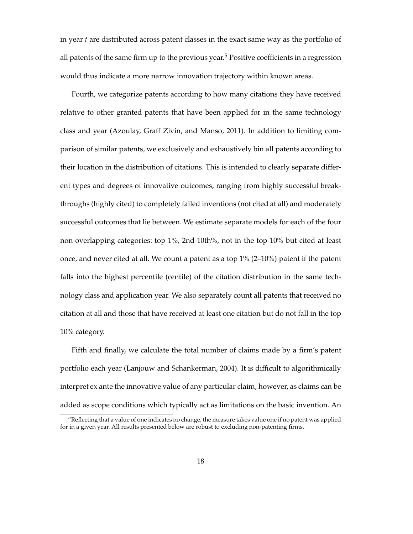in year *t* are distributed across patent classes in the exact same way as the portfolio of all patents of the same firm up to the previous year.<sup>5</sup> Positive coefficients in a regression would thus indicate a more narrow innovation trajectory within known areas.

Fourth, we categorize patents according to how many citations they have received relative to other granted patents that have been applied for in the same technology class and year (Azoulay, Graff Zivin, and Manso, 2011). In addition to limiting comparison of similar patents, we exclusively and exhaustively bin all patents according to their location in the distribution of citations. This is intended to clearly separate different types and degrees of innovative outcomes, ranging from highly successful breakthroughs (highly cited) to completely failed inventions (not cited at all) and moderately successful outcomes that lie between. We estimate separate models for each of the four non-overlapping categories: top 1%, 2nd-10th%, not in the top 10% but cited at least once, and never cited at all. We count a patent as a top  $1\%$  (2–10%) patent if the patent falls into the highest percentile (centile) of the citation distribution in the same technology class and application year. We also separately count all patents that received no citation at all and those that have received at least one citation but do not fall in the top 10% category.

Fifth and finally, we calculate the total number of claims made by a firm's patent portfolio each year (Lanjouw and Schankerman, 2004). It is difficult to algorithmically interpret ex ante the innovative value of any particular claim, however, as claims can be added as scope conditions which typically act as limitations on the basic invention. An

<sup>&</sup>lt;sup>5</sup>Reflecting that a value of one indicates no change, the measure takes value one if no patent was applied for in a given year. All results presented below are robust to excluding non-patenting firms.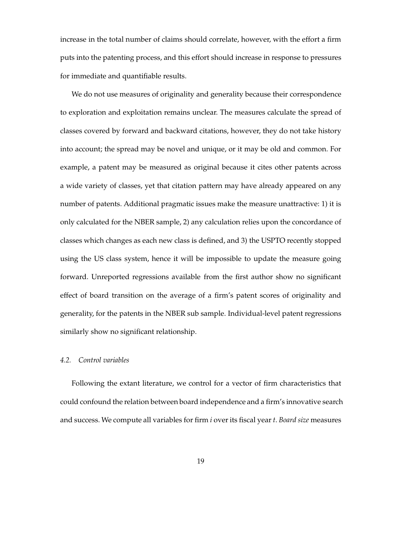increase in the total number of claims should correlate, however, with the effort a firm puts into the patenting process, and this effort should increase in response to pressures for immediate and quantifiable results.

We do not use measures of originality and generality because their correspondence to exploration and exploitation remains unclear. The measures calculate the spread of classes covered by forward and backward citations, however, they do not take history into account; the spread may be novel and unique, or it may be old and common. For example, a patent may be measured as original because it cites other patents across a wide variety of classes, yet that citation pattern may have already appeared on any number of patents. Additional pragmatic issues make the measure unattractive: 1) it is only calculated for the NBER sample, 2) any calculation relies upon the concordance of classes which changes as each new class is defined, and 3) the USPTO recently stopped using the US class system, hence it will be impossible to update the measure going forward. Unreported regressions available from the first author show no significant effect of board transition on the average of a firm's patent scores of originality and generality, for the patents in the NBER sub sample. Individual-level patent regressions similarly show no significant relationship.

## *4.2. Control variables*

Following the extant literature, we control for a vector of firm characteristics that could confound the relation between board independence and a firm's innovative search and success. We compute all variables for firm *i* over its fiscal year *t*. *Board size* measures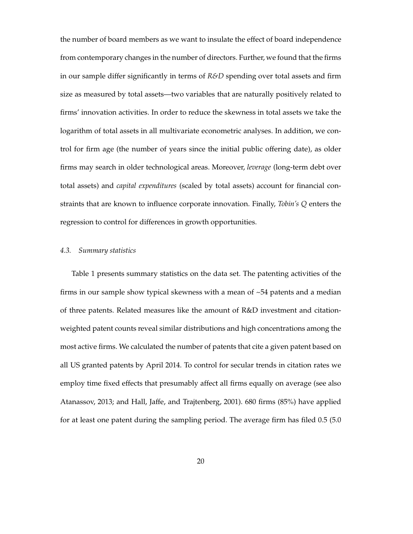the number of board members as we want to insulate the effect of board independence from contemporary changes in the number of directors. Further, we found that the firms in our sample differ significantly in terms of *R&D* spending over total assets and firm size as measured by total assets—two variables that are naturally positively related to firms' innovation activities. In order to reduce the skewness in total assets we take the logarithm of total assets in all multivariate econometric analyses. In addition, we control for firm age (the number of years since the initial public offering date), as older firms may search in older technological areas. Moreover, *leverage* (long-term debt over total assets) and *capital expenditures* (scaled by total assets) account for financial constraints that are known to influence corporate innovation. Finally, *Tobin's Q* enters the regression to control for differences in growth opportunities.

### *4.3. Summary statistics*

Table 1 presents summary statistics on the data set. The patenting activities of the firms in our sample show typical skewness with a mean of  $\sim$  54 patents and a median of three patents. Related measures like the amount of R&D investment and citationweighted patent counts reveal similar distributions and high concentrations among the most active firms. We calculated the number of patents that cite a given patent based on all US granted patents by April 2014. To control for secular trends in citation rates we employ time fixed effects that presumably affect all firms equally on average (see also Atanassov, 2013; and Hall, Jaffe, and Trajtenberg, 2001). 680 firms (85%) have applied for at least one patent during the sampling period. The average firm has filed 0.5 (5.0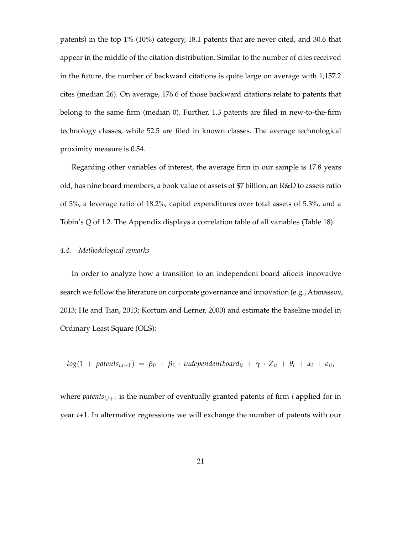patents) in the top 1% (10%) category, 18.1 patents that are never cited, and 30.6 that appear in the middle of the citation distribution. Similar to the number of cites received in the future, the number of backward citations is quite large on average with 1,157.2 cites (median 26). On average, 176.6 of those backward citations relate to patents that belong to the same firm (median 0). Further, 1.3 patents are filed in new-to-the-firm technology classes, while 52.5 are filed in known classes. The average technological proximity measure is 0.54.

Regarding other variables of interest, the average firm in our sample is 17.8 years old, has nine board members, a book value of assets of \$7 billion, an R&D to assets ratio of 5%, a leverage ratio of 18.2%, capital expenditures over total assets of 5.3%, and a Tobin's *Q* of 1.2. The Appendix displays a correlation table of all variables (Table 18).

### *4.4. Methodological remarks*

In order to analyze how a transition to an independent board affects innovative search we follow the literature on corporate governance and innovation (e.g., Atanassov, 2013; He and Tian, 2013; Kortum and Lerner, 2000) and estimate the baseline model in Ordinary Least Square (OLS):

$$
log(1 + paths_{i,t+1}) = \beta_0 + \beta_1 \cdot independentboard_{it} + \gamma \cdot Z_{it} + \theta_t + \alpha_i + \epsilon_{it}
$$

where *patents*<sub>*i*, $t+1$ </sub> is the number of eventually granted patents of firm *i* applied for in year *t+*1. In alternative regressions we will exchange the number of patents with our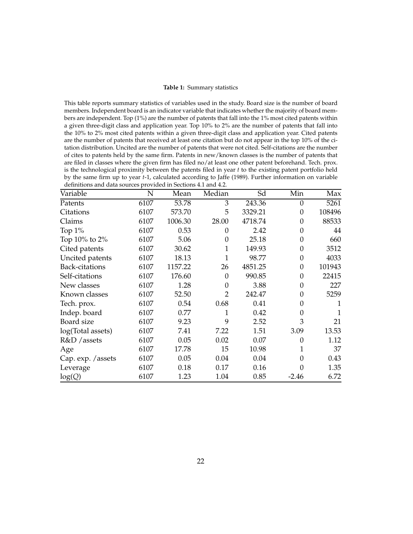#### **Table 1:** Summary statistics

This table reports summary statistics of variables used in the study. Board size is the number of board members. Independent board is an indicator variable that indicates whether the majority of board members are independent. Top (1%) are the number of patents that fall into the 1% most cited patents within a given three-digit class and application year. Top 10% to 2% are the number of patents that fall into the 10% to 2% most cited patents within a given three-digit class and application year. Cited patents are the number of patents that received at least one citation but do not appear in the top 10% of the citation distribution. Uncited are the number of patents that were not cited. Self-citations are the number of cites to patents held by the same firm. Patents in new/known classes is the number of patents that are filed in classes where the given firm has filed no/at least one other patent beforehand. Tech. prox. is the technological proximity between the patents filed in year *t* to the existing patent portfolio held by the same firm up to year *t*-1, calculated according to Jaffe (1989). Further information on variable definitions and data sources provided in Sections 4.1 and 4.2.

| Variable              | N    | Mean    | Median         | Sd      | Min              | Max    |
|-----------------------|------|---------|----------------|---------|------------------|--------|
| Patents               | 6107 | 53.78   | 3              | 243.36  | $\mathbf{0}$     | 5261   |
| Citations             | 6107 | 573.70  | 5              | 3329.21 | $\theta$         | 108496 |
| Claims                | 6107 | 1006.30 | 28.00          | 4718.74 | $\theta$         | 88533  |
| Top 1%                | 6107 | 0.53    | 0              | 2.42    | $\theta$         | 44     |
| Top 10% to 2%         | 6107 | 5.06    | $\theta$       | 25.18   | $\Omega$         | 660    |
| Cited patents         | 6107 | 30.62   | 1              | 149.93  | $\theta$         | 3512   |
| Uncited patents       | 6107 | 18.13   | $\mathbf 1$    | 98.77   | $\theta$         | 4033   |
| <b>Back-citations</b> | 6107 | 1157.22 | 26             | 4851.25 | $\boldsymbol{0}$ | 101943 |
| Self-citations        | 6107 | 176.60  | 0              | 990.85  | 0                | 22415  |
| New classes           | 6107 | 1.28    | 0              | 3.88    | 0                | 227    |
| Known classes         | 6107 | 52.50   | $\overline{2}$ | 242.47  | $\theta$         | 5259   |
| Tech. prox.           | 6107 | 0.54    | 0.68           | 0.41    | 0                | 1      |
| Indep. board          | 6107 | 0.77    | 1              | 0.42    | $\theta$         | 1      |
| Board size            | 6107 | 9.23    | 9              | 2.52    | 3                | 21     |
| log(Total assets)     | 6107 | 7.41    | 7.22           | 1.51    | 3.09             | 13.53  |
| R&D / assets          | 6107 | 0.05    | 0.02           | 0.07    | $\theta$         | 1.12   |
| Age                   | 6107 | 17.78   | 15             | 10.98   | 1                | 37     |
| Cap. exp. / assets    | 6107 | 0.05    | 0.04           | 0.04    | 0                | 0.43   |
| Leverage              | 6107 | 0.18    | 0.17           | 0.16    | 0                | 1.35   |
| log(Q)                | 6107 | 1.23    | 1.04           | 0.85    | $-2.46$          | 6.72   |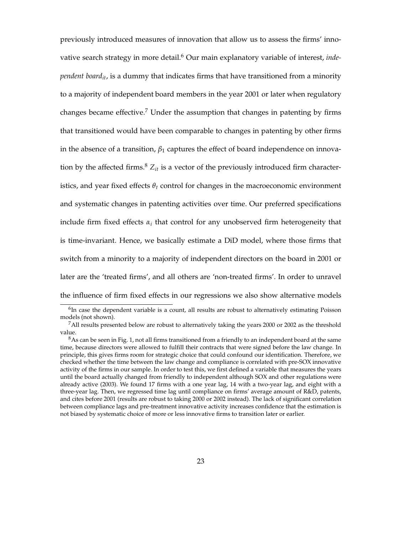previously introduced measures of innovation that allow us to assess the firms' innovative search strategy in more detail.<sup>6</sup> Our main explanatory variable of interest, *independent boardit*, is a dummy that indicates firms that have transitioned from a minority to a majority of independent board members in the year 2001 or later when regulatory changes became effective.<sup>7</sup> Under the assumption that changes in patenting by firms that transitioned would have been comparable to changes in patenting by other firms in the absence of a transition,  $\beta_1$  captures the effect of board independence on innovation by the affected firms.<sup>8</sup>  $Z_{it}$  is a vector of the previously introduced firm characteristics, and year fixed effects  $\theta_t$  control for changes in the macroeconomic environment and systematic changes in patenting activities over time. Our preferred specifications include firm fixed effects  $\alpha_i$  that control for any unobserved firm heterogeneity that is time-invariant. Hence, we basically estimate a DiD model, where those firms that switch from a minority to a majority of independent directors on the board in 2001 or later are the 'treated firms', and all others are 'non-treated firms'. In order to unravel the influence of firm fixed effects in our regressions we also show alternative models

 ${}^{6}$ In case the dependent variable is a count, all results are robust to alternatively estimating Poisson models (not shown).

 $7$ All results presented below are robust to alternatively taking the years 2000 or 2002 as the threshold value.

<sup>&</sup>lt;sup>8</sup>As can be seen in Fig. 1, not all firms transitioned from a friendly to an independent board at the same time, because directors were allowed to fulfill their contracts that were signed before the law change. In principle, this gives firms room for strategic choice that could confound our identification. Therefore, we checked whether the time between the law change and compliance is correlated with pre-SOX innovative activity of the firms in our sample. In order to test this, we first defined a variable that measures the years until the board actually changed from friendly to independent although SOX and other regulations were already active (2003). We found 17 firms with a one year lag, 14 with a two-year lag, and eight with a three-year lag. Then, we regressed time lag until compliance on firms' average amount of R&D, patents, and cites before 2001 (results are robust to taking 2000 or 2002 instead). The lack of significant correlation between compliance lags and pre-treatment innovative activity increases confidence that the estimation is not biased by systematic choice of more or less innovative firms to transition later or earlier.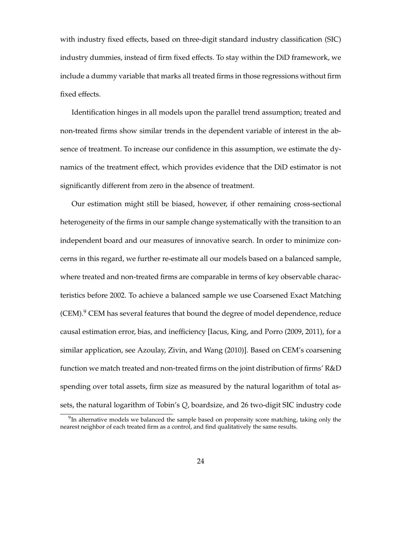with industry fixed effects, based on three-digit standard industry classification (SIC) industry dummies, instead of firm fixed effects. To stay within the DiD framework, we include a dummy variable that marks all treated firms in those regressions without firm fixed effects.

Identification hinges in all models upon the parallel trend assumption; treated and non-treated firms show similar trends in the dependent variable of interest in the absence of treatment. To increase our confidence in this assumption, we estimate the dynamics of the treatment effect, which provides evidence that the DiD estimator is not significantly different from zero in the absence of treatment.

Our estimation might still be biased, however, if other remaining cross-sectional heterogeneity of the firms in our sample change systematically with the transition to an independent board and our measures of innovative search. In order to minimize concerns in this regard, we further re-estimate all our models based on a balanced sample, where treated and non-treated firms are comparable in terms of key observable characteristics before 2002. To achieve a balanced sample we use Coarsened Exact Matching  $(CEM).<sup>9</sup>$  CEM has several features that bound the degree of model dependence, reduce causal estimation error, bias, and inefficiency [Iacus, King, and Porro (2009, 2011), for a similar application, see Azoulay, Zivin, and Wang (2010)]. Based on CEM's coarsening function we match treated and non-treated firms on the joint distribution of firms' R&D spending over total assets, firm size as measured by the natural logarithm of total assets, the natural logarithm of Tobin's *Q*, boardsize, and 26 two-digit SIC industry code

<sup>&</sup>lt;sup>9</sup>In alternative models we balanced the sample based on propensity score matching, taking only the nearest neighbor of each treated firm as a control, and find qualitatively the same results.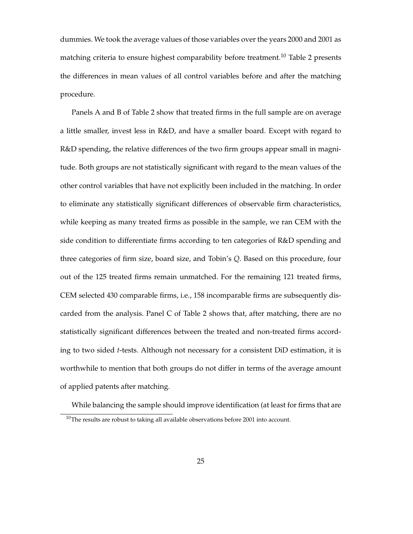dummies. We took the average values of those variables over the years 2000 and 2001 as matching criteria to ensure highest comparability before treatment.<sup>10</sup> Table 2 presents the differences in mean values of all control variables before and after the matching procedure.

Panels A and B of Table 2 show that treated firms in the full sample are on average a little smaller, invest less in R&D, and have a smaller board. Except with regard to R&D spending, the relative differences of the two firm groups appear small in magnitude. Both groups are not statistically significant with regard to the mean values of the other control variables that have not explicitly been included in the matching. In order to eliminate any statistically significant differences of observable firm characteristics, while keeping as many treated firms as possible in the sample, we ran CEM with the side condition to differentiate firms according to ten categories of R&D spending and three categories of firm size, board size, and Tobin's *Q*. Based on this procedure, four out of the 125 treated firms remain unmatched. For the remaining 121 treated firms, CEM selected 430 comparable firms, i.e., 158 incomparable firms are subsequently discarded from the analysis. Panel C of Table 2 shows that, after matching, there are no statistically significant differences between the treated and non-treated firms according to two sided *t*-tests. Although not necessary for a consistent DiD estimation, it is worthwhile to mention that both groups do not differ in terms of the average amount of applied patents after matching.

While balancing the sample should improve identification (at least for firms that are

 $10$ The results are robust to taking all available observations before 2001 into account.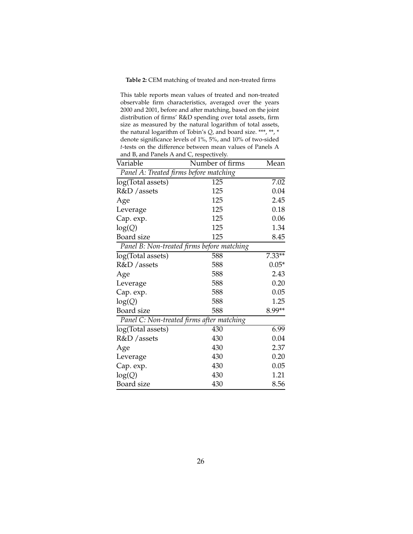#### **Table 2:** CEM matching of treated and non-treated firms

This table reports mean values of treated and non-treated observable firm characteristics, averaged over the years 2000 and 2001, before and after matching, based on the joint distribution of firms' R&D spending over total assets, firm size as measured by the natural logarithm of total assets, the natural logarithm of Tobin's *Q*, and board size. \*\*\*, \*\*, \* denote significance levels of 1%, 5%, and 10% of two-sided *t*-tests on the difference between mean values of Panels A and B, and Panels A and C, respectively.

| Variable                               | Number of firms                            | Mean     |
|----------------------------------------|--------------------------------------------|----------|
| Panel A: Treated firms before matching |                                            |          |
| log(Total assets)                      | 125                                        | 7.02     |
| R&D / assets                           | 125                                        | 0.04     |
| Age                                    | 125                                        | 2.45     |
| Leverage                               | 125                                        | 0.18     |
| Cap. exp.                              | 125                                        | 0.06     |
| log(Q)                                 | 125                                        | 1.34     |
| <b>Board</b> size                      | 125                                        | 8.45     |
|                                        | Panel B: Non-treated firms before matching |          |
| log(Total assets)                      | 588                                        | $7.33**$ |
| R&D / assets                           | 588                                        | $0.05*$  |
| Age                                    | 588                                        | 2.43     |
| Leverage                               | 588                                        | 0.20     |
| Cap. exp.                              | 588                                        | 0.05     |
| log(Q)                                 | 588                                        | 1.25     |
| Board size                             | 588                                        | 8.99**   |
|                                        | Panel C: Non-treated firms after matching  |          |
| log(Total assets)                      | 430                                        | 6.99     |
| R&D / assets                           | 430                                        | 0.04     |
| Age                                    | 430                                        | 2.37     |
| Leverage                               | 430                                        | 0.20     |
| Cap. exp.                              | 430                                        | 0.05     |
| log(Q)                                 | 430                                        | 1.21     |
| Board size                             | 430                                        | 8.56     |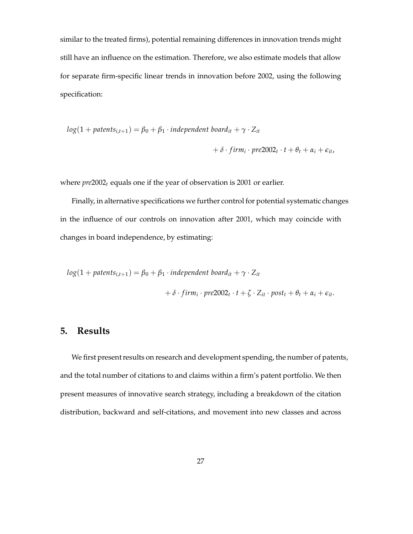similar to the treated firms), potential remaining differences in innovation trends might still have an influence on the estimation. Therefore, we also estimate models that allow for separate firm-specific linear trends in innovation before 2002, using the following specification:

$$
log(1 + patterns_{i,t+1}) = \beta_0 + \beta_1 \cdot independent\ board_{it} + \gamma \cdot Z_{it}
$$
  
+  $\delta \cdot firm_i \cdot pre2002_t \cdot t + \theta_t + \alpha_i + \epsilon_{it}$ 

where *pre*2002*<sup>t</sup>* equals one if the year of observation is 2001 or earlier.

Finally, in alternative specifications we further control for potential systematic changes in the influence of our controls on innovation after 2001, which may coincide with changes in board independence, by estimating:

$$
log(1 + patterns_{i,t+1}) = \beta_0 + \beta_1 \cdot independent\ board_{it} + \gamma \cdot Z_{it}
$$
  
  $+ \delta \cdot firm_i \cdot pre2002_t \cdot t + \zeta \cdot Z_{it} \cdot post_t + \theta_t + \alpha_i + \epsilon_{it}.$ 

# **5. Results**

We first present results on research and development spending, the number of patents, and the total number of citations to and claims within a firm's patent portfolio. We then present measures of innovative search strategy, including a breakdown of the citation distribution, backward and self-citations, and movement into new classes and across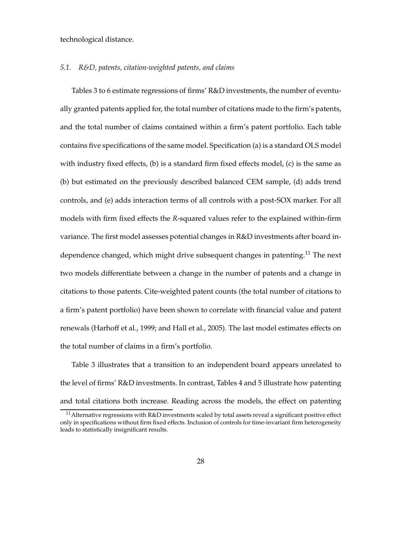technological distance.

#### *5.1. R&D, patents, citation-weighted patents, and claims*

Tables 3 to 6 estimate regressions of firms' R&D investments, the number of eventually granted patents applied for, the total number of citations made to the firm's patents, and the total number of claims contained within a firm's patent portfolio. Each table contains five specifications of the same model. Specification (a) is a standard OLS model with industry fixed effects, (b) is a standard firm fixed effects model, (c) is the same as (b) but estimated on the previously described balanced CEM sample, (d) adds trend controls, and (e) adds interaction terms of all controls with a post-SOX marker. For all models with firm fixed effects the *R*-squared values refer to the explained within-firm variance. The first model assesses potential changes in R&D investments after board independence changed, which might drive subsequent changes in patenting.<sup>11</sup> The next two models differentiate between a change in the number of patents and a change in citations to those patents. Cite-weighted patent counts (the total number of citations to a firm's patent portfolio) have been shown to correlate with financial value and patent renewals (Harhoff et al., 1999; and Hall et al., 2005). The last model estimates effects on the total number of claims in a firm's portfolio.

Table 3 illustrates that a transition to an independent board appears unrelated to the level of firms' R&D investments. In contrast, Tables 4 and 5 illustrate how patenting and total citations both increase. Reading across the models, the effect on patenting

<sup>&</sup>lt;sup>11</sup> Alternative regressions with R&D investments scaled by total assets reveal a significant positive effect only in specifications without firm fixed effects. Inclusion of controls for time-invariant firm heterogeneity leads to statistically insignificant results.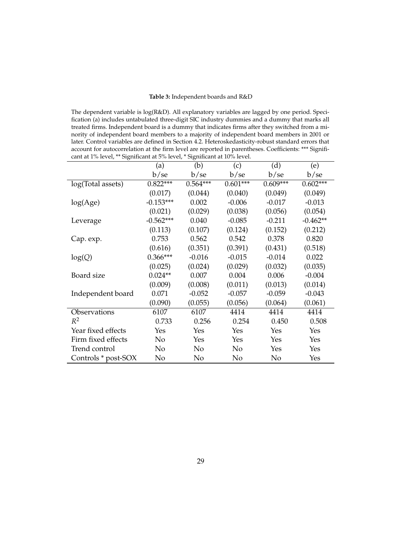| Table 3: Independent boards and R&D |  |
|-------------------------------------|--|
|-------------------------------------|--|

The dependent variable is log(R&D). All explanatory variables are lagged by one period. Specification (a) includes untabulated three-digit SIC industry dummies and a dummy that marks all treated firms. Independent board is a dummy that indicates firms after they switched from a minority of independent board members to a majority of independent board members in 2001 or later. Control variables are defined in Section 4.2. Heteroskedasticity-robust standard errors that account for autocorrelation at the firm level are reported in parentheses. Coefficients: \*\*\* Significant at 1% level, \*\* Significant at 5% level, \* Significant at 10% level.

|                     | (a)            | (b)        | (c)        | (d)        | (e)        |
|---------------------|----------------|------------|------------|------------|------------|
|                     | b/se           | b/se       | b/se       | b/se       | b/se       |
| log(Total assets)   | $0.822***$     | $0.564***$ | $0.601***$ | $0.609***$ | $0.602***$ |
|                     | (0.017)        | (0.044)    | (0.040)    | (0.049)    | (0.049)    |
| log(Age)            | $-0.153***$    | 0.002      | $-0.006$   | $-0.017$   | $-0.013$   |
|                     | (0.021)        | (0.029)    | (0.038)    | (0.056)    | (0.054)    |
| Leverage            | $-0.562***$    | 0.040      | $-0.085$   | $-0.211$   | $-0.462**$ |
|                     | (0.113)        | (0.107)    | (0.124)    | (0.152)    | (0.212)    |
| Cap. exp.           | 0.753          | 0.562      | 0.542      | 0.378      | 0.820      |
|                     | (0.616)        | (0.351)    | (0.391)    | (0.431)    | (0.518)    |
| log(Q)              | $0.366***$     | $-0.016$   | $-0.015$   | $-0.014$   | 0.022      |
|                     | (0.025)        | (0.024)    | (0.029)    | (0.032)    | (0.035)    |
| Board size          | $0.024**$      | 0.007      | 0.004      | 0.006      | $-0.004$   |
|                     | (0.009)        | (0.008)    | (0.011)    | (0.013)    | (0.014)    |
| Independent board   | 0.071          | $-0.052$   | $-0.057$   | $-0.059$   | $-0.043$   |
|                     | (0.090)        | (0.055)    | (0.056)    | (0.064)    | (0.061)    |
| Observations        | 6107           | 6107       | 4414       | 4414       | 4414       |
| $R^2$               | 0.733          | 0.256      | 0.254      | 0.450      | 0.508      |
| Year fixed effects  | Yes            | Yes        | Yes        | Yes        | Yes        |
| Firm fixed effects  | N <sub>0</sub> | Yes        | Yes        | Yes        | Yes        |
| Trend control       | No             | No         | No         | Yes        | Yes        |
| Controls * post-SOX | No             | No         | No         | No         | Yes        |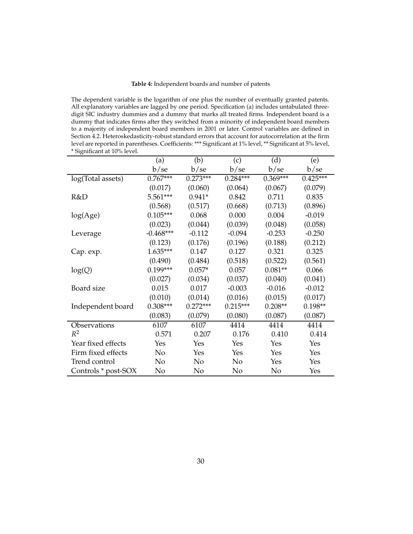#### **Table 4:** Independent boards and number of patents

The dependent variable is the logarithm of one plus the number of eventually granted patents. All explanatory variables are lagged by one period. Specification (a) includes untabulated threedigit SIC industry dummies and a dummy that marks all treated firms. Independent board is a dummy that indicates firms after they switched from a minority of independent board members to a majority of independent board members in 2001 or later. Control variables are defined in Section 4.2. Heteroskedasticity-robust standard errors that account for autocorrelation at the firm level are reported in parentheses. Coefficients: \*\*\* Significant at 1% level, \*\* Significant at 5% level, \* Significant at 10% level.

|                     | (a)         | (b)        | (c)        | (d)        | (e)        |
|---------------------|-------------|------------|------------|------------|------------|
|                     | b/se        | b/se       | b/se       | b/se       | b/se       |
| log(Total assets)   | $0.767***$  | $0.273***$ | $0.284***$ | $0.369***$ | $0.425***$ |
|                     | (0.017)     | (0.060)    | (0.064)    | (0.067)    | (0.079)    |
| R&D                 | 5.561***    | $0.941*$   | 0.842      | 0.711      | 0.835      |
|                     | (0.568)     | (0.517)    | (0.668)    | (0.713)    | (0.896)    |
| log(Age)            | $0.105***$  | 0.068      | 0.000      | 0.004      | $-0.019$   |
|                     | (0.023)     | (0.044)    | (0.039)    | (0.048)    | (0.058)    |
| Leverage            | $-0.468***$ | $-0.112$   | $-0.094$   | $-0.253$   | $-0.250$   |
|                     | (0.123)     | (0.176)    | (0.196)    | (0.188)    | (0.212)    |
| Cap. exp.           | $1.635***$  | 0.147      | 0.127      | 0.321      | 0.325      |
|                     | (0.490)     | (0.484)    | (0.518)    | (0.522)    | (0.561)    |
| log(Q)              | $0.199***$  | $0.057*$   | 0.057      | $0.081**$  | 0.066      |
|                     | (0.027)     | (0.034)    | (0.037)    | (0.040)    | (0.041)    |
| Board size          | 0.015       | 0.017      | $-0.003$   | $-0.016$   | $-0.012$   |
|                     | (0.010)     | (0.014)    | (0.016)    | (0.015)    | (0.017)    |
| Independent board   | $0.308***$  | $0.272***$ | $0.215***$ | $0.208**$  | $0.198**$  |
|                     | (0.083)     | (0.079)    | (0.080)    | (0.087)    | (0.087)    |
| Observations        | 6107        | 6107       | 4414       | 4414       | 4414       |
| $R^2$               | 0.571       | 0.207      | 0.176      | 0.410      | 0.414      |
| Year fixed effects  | Yes         | Yes        | Yes        | Yes        | Yes        |
| Firm fixed effects  | No          | Yes        | Yes        | Yes        | Yes        |
| Trend control       | No          | No         | No         | Yes        | Yes        |
| Controls * post-SOX | No          | No         | No         | No         | Yes        |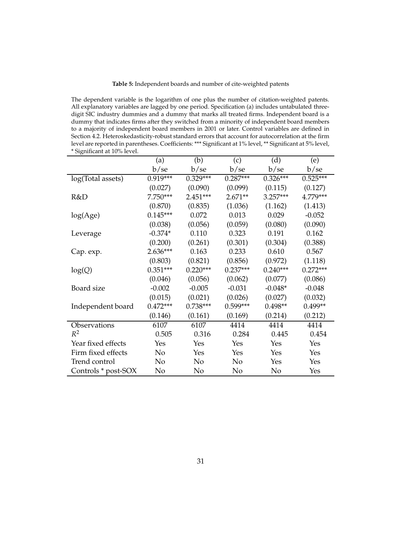#### **Table 5:** Independent boards and number of cite-weighted patents

The dependent variable is the logarithm of one plus the number of citation-weighted patents. All explanatory variables are lagged by one period. Specification (a) includes untabulated threedigit SIC industry dummies and a dummy that marks all treated firms. Independent board is a dummy that indicates firms after they switched from a minority of independent board members to a majority of independent board members in 2001 or later. Control variables are defined in Section 4.2. Heteroskedasticity-robust standard errors that account for autocorrelation at the firm level are reported in parentheses. Coefficients: \*\*\* Significant at 1% level, \*\* Significant at 5% level, \* Significant at 10% level.

|                     | (a)        | (b)        | (c)        | (d)        | (e)        |
|---------------------|------------|------------|------------|------------|------------|
|                     | b/se       | b/se       | b/se       | b/se       | b/se       |
| log(Total assets)   | $0.919***$ | $0.329***$ | $0.287***$ | $0.326***$ | $0.525***$ |
|                     | (0.027)    | (0.090)    | (0.099)    | (0.115)    | (0.127)    |
| R&D                 | 7.750***   | $2.451***$ | $2.671**$  | $3.257***$ | 4.779***   |
|                     | (0.870)    | (0.835)    | (1.036)    | (1.162)    | (1.413)    |
| log(Age)            | $0.145***$ | 0.072      | 0.013      | 0.029      | $-0.052$   |
|                     | (0.038)    | (0.056)    | (0.059)    | (0.080)    | (0.090)    |
| Leverage            | $-0.374*$  | 0.110      | 0.323      | 0.191      | 0.162      |
|                     | (0.200)    | (0.261)    | (0.301)    | (0.304)    | (0.388)    |
| Cap. exp.           | $2.636***$ | 0.163      | 0.233      | 0.610      | 0.567      |
|                     | (0.803)    | (0.821)    | (0.856)    | (0.972)    | (1.118)    |
| log(Q)              | $0.351***$ | $0.220***$ | $0.237***$ | $0.240***$ | $0.272***$ |
|                     | (0.046)    | (0.056)    | (0.062)    | (0.077)    | (0.086)    |
| Board size          | $-0.002$   | $-0.005$   | $-0.031$   | $-0.048*$  | $-0.048$   |
|                     | (0.015)    | (0.021)    | (0.026)    | (0.027)    | (0.032)    |
| Independent board   | $0.472***$ | $0.738***$ | $0.599***$ | $0.498**$  | $0.499**$  |
|                     | (0.146)    | (0.161)    | (0.169)    | (0.214)    | (0.212)    |
| Observations        | 6107       | 6107       | 4414       | 4414       | 4414       |
| $R^2$               | 0.505      | 0.316      | 0.284      | 0.445      | 0.454      |
| Year fixed effects  | Yes        | Yes        | Yes        | Yes        | Yes        |
| Firm fixed effects  | No         | Yes        | Yes        | Yes        | Yes        |
| Trend control       | No         | No         | No         | Yes        | Yes        |
| Controls * post-SOX | No         | No         | No         | No         | Yes        |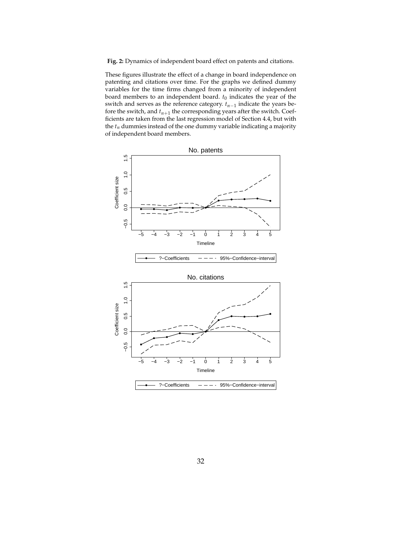**Fig. 2:** Dynamics of independent board effect on patents and citations.

These figures illustrate the effect of a change in board independence on patenting and citations over time. For the graphs we defined dummy variables for the time firms changed from a minority of independent board members to an independent board.  $t_0$  indicates the year of the switch and serves as the reference category. *tn*−<sup>1</sup> indicate the years before the switch, and  $t_{n+1}$  the corresponding years after the switch. Coefficients are taken from the last regression model of Section 4.4, but with the  $t_n$  dummies instead of the one dummy variable indicating a majority of independent board members.

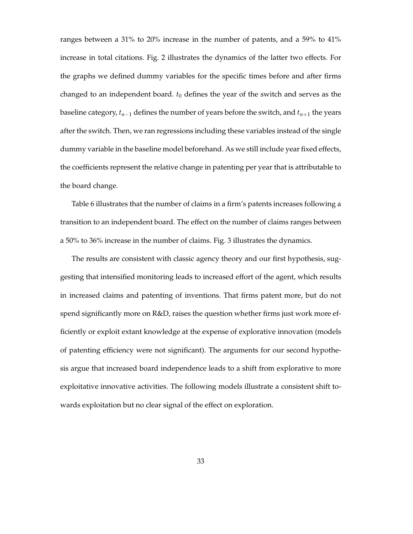ranges between a 31% to 20% increase in the number of patents, and a 59% to 41% increase in total citations. Fig. 2 illustrates the dynamics of the latter two effects. For the graphs we defined dummy variables for the specific times before and after firms changed to an independent board.  $t_0$  defines the year of the switch and serves as the baseline category,  $t_{n-1}$  defines the number of years before the switch, and  $t_{n+1}$  the years after the switch. Then, we ran regressions including these variables instead of the single dummy variable in the baseline model beforehand. As we still include year fixed effects, the coefficients represent the relative change in patenting per year that is attributable to the board change.

Table 6 illustrates that the number of claims in a firm's patents increases following a transition to an independent board. The effect on the number of claims ranges between a 50% to 36% increase in the number of claims. Fig. 3 illustrates the dynamics.

The results are consistent with classic agency theory and our first hypothesis, suggesting that intensified monitoring leads to increased effort of the agent, which results in increased claims and patenting of inventions. That firms patent more, but do not spend significantly more on R&D, raises the question whether firms just work more efficiently or exploit extant knowledge at the expense of explorative innovation (models of patenting efficiency were not significant). The arguments for our second hypothesis argue that increased board independence leads to a shift from explorative to more exploitative innovative activities. The following models illustrate a consistent shift towards exploitation but no clear signal of the effect on exploration.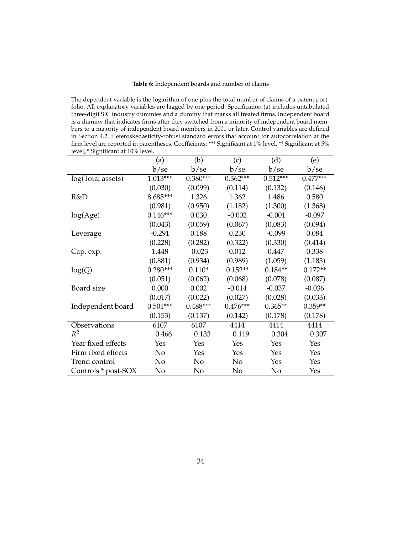#### **Table 6:** Independent boards and number of claims

The dependent variable is the logarithm of one plus the total number of claims of a patent portfolio. All explanatory variables are lagged by one period. Specification (a) includes untabulated three-digit SIC industry dummies and a dummy that marks all treated firms. Independent board is a dummy that indicates firms after they switched from a minority of independent board members to a majority of independent board members in 2001 or later. Control variables are defined in Section 4.2. Heteroskedasticity-robust standard errors that account for autocorrelation at the firm level are reported in parentheses. Coefficients: \*\*\* Significant at 1% level, \*\* Significant at 5% level, \* Significant at 10% level.

|                     | (a)        | (b)        | (c)        | (d)        | (e)        |
|---------------------|------------|------------|------------|------------|------------|
|                     | b/se       | b/se       | b/se       | b/se       | b/se       |
| log(Total assets)   | $1.013***$ | $0.380***$ | $0.362***$ | $0.512***$ | $0.477***$ |
|                     | (0.030)    | (0.099)    | (0.114)    | (0.132)    | (0.146)    |
| R&D                 | 8.685***   | 1.326      | 1.362      | 1.486      | 0.580      |
|                     | (0.981)    | (0.950)    | (1.182)    | (1.300)    | (1.368)    |
| log(Age)            | $0.146***$ | 0.030      | $-0.002$   | $-0.001$   | $-0.097$   |
|                     | (0.043)    | (0.059)    | (0.067)    | (0.083)    | (0.094)    |
| Leverage            | $-0.291$   | 0.188      | 0.230      | $-0.099$   | 0.084      |
|                     | (0.228)    | (0.282)    | (0.322)    | (0.330)    | (0.414)    |
| Cap. exp.           | 1.448      | $-0.023$   | 0.012      | 0.447      | 0.338      |
|                     | (0.881)    | (0.934)    | (0.989)    | (1.059)    | (1.183)    |
| log(Q)              | $0.280***$ | $0.110*$   | $0.152**$  | $0.184**$  | $0.172**$  |
|                     | (0.051)    | (0.062)    | (0.068)    | (0.078)    | (0.087)    |
| Board size          | 0.000      | 0.002      | $-0.014$   | $-0.037$   | $-0.036$   |
|                     | (0.017)    | (0.022)    | (0.027)    | (0.028)    | (0.033)    |
| Independent board   | $0.501***$ | $0.488***$ | $0.476***$ | $0.365**$  | $0.359**$  |
|                     | (0.153)    | (0.137)    | (0.142)    | (0.178)    | (0.178)    |
| Observations        | 6107       | 6107       | 4414       | 4414       | 4414       |
| $R^2$               | 0.466      | 0.133      | 0.119      | 0.304      | 0.307      |
| Year fixed effects  | Yes        | Yes        | Yes        | Yes        | Yes        |
| Firm fixed effects  | No         | Yes        | Yes        | Yes        | Yes        |
| Trend control       | No         | No         | No         | Yes        | Yes        |
| Controls * post-SOX | No         | No         | No         | No         | Yes        |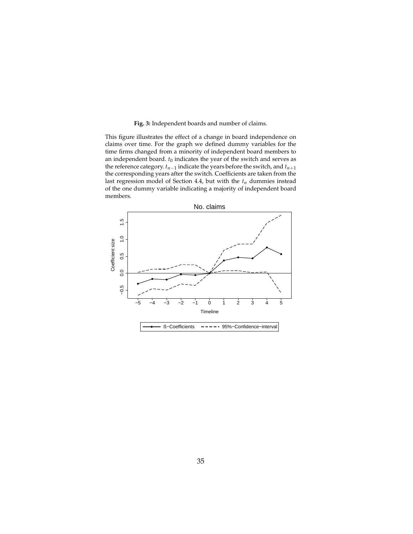### **Fig. 3:** Independent boards and number of claims.

This figure illustrates the effect of a change in board independence on claims over time. For the graph we defined dummy variables for the time firms changed from a minority of independent board members to an independent board.  $t_0$  indicates the year of the switch and serves as the reference category.  $t_{n-1}$  indicate the years before the switch, and  $t_{n+1}$ the corresponding years after the switch. Coefficients are taken from the last regression model of Section 4.4, but with the *tn* dummies instead of the one dummy variable indicating a majority of independent board members.

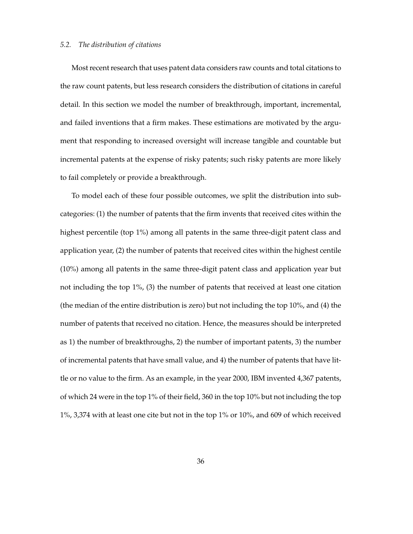## *5.2. The distribution of citations*

Most recent research that uses patent data considers raw counts and total citations to the raw count patents, but less research considers the distribution of citations in careful detail. In this section we model the number of breakthrough, important, incremental, and failed inventions that a firm makes. These estimations are motivated by the argument that responding to increased oversight will increase tangible and countable but incremental patents at the expense of risky patents; such risky patents are more likely to fail completely or provide a breakthrough.

To model each of these four possible outcomes, we split the distribution into subcategories: (1) the number of patents that the firm invents that received cites within the highest percentile (top 1%) among all patents in the same three-digit patent class and application year, (2) the number of patents that received cites within the highest centile (10%) among all patents in the same three-digit patent class and application year but not including the top 1%, (3) the number of patents that received at least one citation (the median of the entire distribution is zero) but not including the top 10%, and (4) the number of patents that received no citation. Hence, the measures should be interpreted as 1) the number of breakthroughs, 2) the number of important patents, 3) the number of incremental patents that have small value, and 4) the number of patents that have little or no value to the firm. As an example, in the year 2000, IBM invented 4,367 patents, of which 24 were in the top 1% of their field, 360 in the top 10% but not including the top 1%, 3,374 with at least one cite but not in the top 1% or 10%, and 609 of which received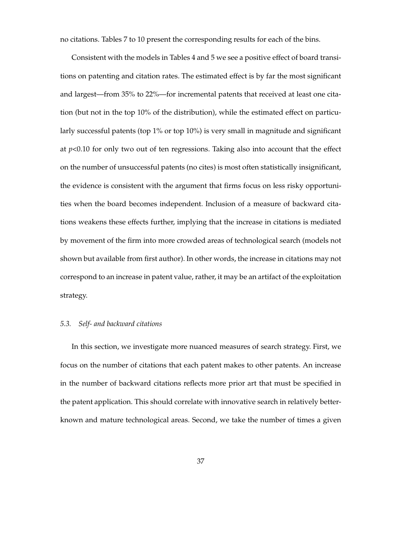no citations. Tables 7 to 10 present the corresponding results for each of the bins.

Consistent with the models in Tables 4 and 5 we see a positive effect of board transitions on patenting and citation rates. The estimated effect is by far the most significant and largest—from 35% to 22%—for incremental patents that received at least one citation (but not in the top 10% of the distribution), while the estimated effect on particularly successful patents (top 1% or top 10%) is very small in magnitude and significant at  $p<0.10$  for only two out of ten regressions. Taking also into account that the effect on the number of unsuccessful patents (no cites) is most often statistically insignificant, the evidence is consistent with the argument that firms focus on less risky opportunities when the board becomes independent. Inclusion of a measure of backward citations weakens these effects further, implying that the increase in citations is mediated by movement of the firm into more crowded areas of technological search (models not shown but available from first author). In other words, the increase in citations may not correspond to an increase in patent value, rather, it may be an artifact of the exploitation strategy.

## *5.3. Self- and backward citations*

In this section, we investigate more nuanced measures of search strategy. First, we focus on the number of citations that each patent makes to other patents. An increase in the number of backward citations reflects more prior art that must be specified in the patent application. This should correlate with innovative search in relatively betterknown and mature technological areas. Second, we take the number of times a given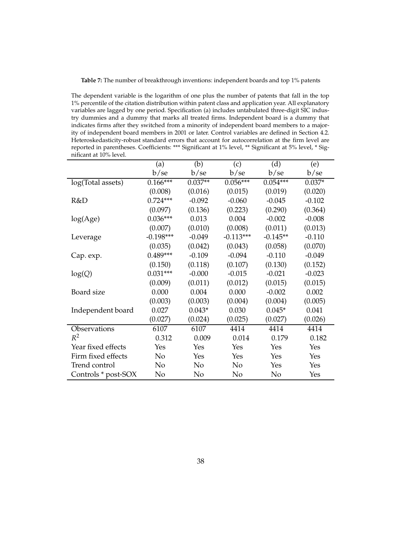| <b>Table 7:</b> The number of breakthrough inventions: independent boards and top 1% patents |  |  |  |
|----------------------------------------------------------------------------------------------|--|--|--|
|----------------------------------------------------------------------------------------------|--|--|--|

The dependent variable is the logarithm of one plus the number of patents that fall in the top 1% percentile of the citation distribution within patent class and application year. All explanatory variables are lagged by one period. Specification (a) includes untabulated three-digit SIC industry dummies and a dummy that marks all treated firms. Independent board is a dummy that indicates firms after they switched from a minority of independent board members to a majority of independent board members in 2001 or later. Control variables are defined in Section 4.2. Heteroskedasticity-robust standard errors that account for autocorrelation at the firm level are reported in parentheses. Coefficients: \*\*\* Significant at 1% level, \*\* Significant at 5% level, \* Significant at 10% level.

|                     | (a)         | (b)       | (c)            | (d)        | (e)      |
|---------------------|-------------|-----------|----------------|------------|----------|
|                     | b/se        | b/se      | b/se           | b/se       | b/se     |
| log(Total assets)   | $0.166***$  | $0.037**$ | $0.056***$     | $0.054***$ | $0.037*$ |
|                     | (0.008)     | (0.016)   | (0.015)        | (0.019)    | (0.020)  |
| R&D                 | $0.724***$  | $-0.092$  | $-0.060$       | $-0.045$   | $-0.102$ |
|                     | (0.097)     | (0.136)   | (0.223)        | (0.290)    | (0.364)  |
| log(Age)            | $0.036***$  | 0.013     | 0.004          | $-0.002$   | $-0.008$ |
|                     | (0.007)     | (0.010)   | (0.008)        | (0.011)    | (0.013)  |
| Leverage            | $-0.198***$ | $-0.049$  | $-0.113***$    | $-0.145**$ | $-0.110$ |
|                     | (0.035)     | (0.042)   | (0.043)        | (0.058)    | (0.070)  |
| Cap. exp.           | $0.489***$  | $-0.109$  | $-0.094$       | $-0.110$   | $-0.049$ |
|                     | (0.150)     | (0.118)   | (0.107)        | (0.130)    | (0.152)  |
| log(Q)              | $0.031***$  | $-0.000$  | $-0.015$       | $-0.021$   | $-0.023$ |
|                     | (0.009)     | (0.011)   | (0.012)        | (0.015)    | (0.015)  |
| Board size          | 0.000       | 0.004     | 0.000          | $-0.002$   | 0.002    |
|                     | (0.003)     | (0.003)   | (0.004)        | (0.004)    | (0.005)  |
| Independent board   | 0.027       | $0.043*$  | 0.030          | $0.045*$   | 0.041    |
|                     | (0.027)     | (0.024)   | (0.025)        | (0.027)    | (0.026)  |
| Observations        | 6107        | 6107      | 4414           | 4414       | 4414     |
| $R^2$               | 0.312       | 0.009     | 0.014          | 0.179      | 0.182    |
| Year fixed effects  | Yes         | Yes       | Yes            | Yes        | Yes      |
| Firm fixed effects  | No          | Yes       | Yes            | Yes        | Yes      |
| Trend control       | No          | No        | N <sub>o</sub> | Yes        | Yes      |
| Controls * post-SOX | No          | No        | No             | No         | Yes      |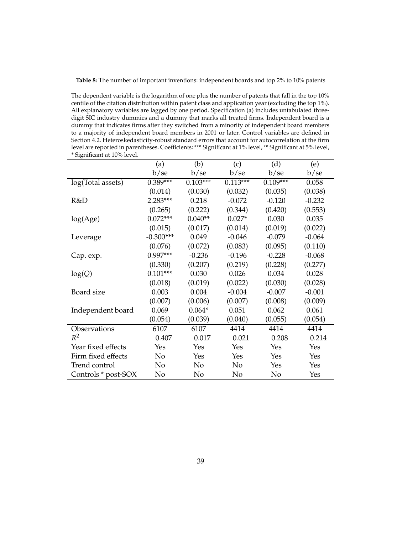| <b>Table 8:</b> The number of important inventions: independent boards and top 2% to 10% patents |
|--------------------------------------------------------------------------------------------------|
|--------------------------------------------------------------------------------------------------|

The dependent variable is the logarithm of one plus the number of patents that fall in the top 10% centile of the citation distribution within patent class and application year (excluding the top 1%). All explanatory variables are lagged by one period. Specification (a) includes untabulated threedigit SIC industry dummies and a dummy that marks all treated firms. Independent board is a dummy that indicates firms after they switched from a minority of independent board members to a majority of independent board members in 2001 or later. Control variables are defined in Section 4.2. Heteroskedasticity-robust standard errors that account for autocorrelation at the firm level are reported in parentheses. Coefficients: \*\*\* Significant at 1% level, \*\* Significant at 5% level, \* Significant at 10% level.

|                     | (a)         | (b)        | (c)            | (d)        | (e)      |
|---------------------|-------------|------------|----------------|------------|----------|
|                     | b/se        | b/se       | b/se           | b/se       | b/se     |
| log(Total assets)   | $0.389***$  | $0.103***$ | $0.113***$     | $0.109***$ | 0.058    |
|                     | (0.014)     | (0.030)    | (0.032)        | (0.035)    | (0.038)  |
| R&D                 | 2.283***    | 0.218      | $-0.072$       | $-0.120$   | $-0.232$ |
|                     | (0.265)     | (0.222)    | (0.344)        | (0.420)    | (0.553)  |
| log(Age)            | $0.072***$  | $0.040**$  | $0.027*$       | 0.030      | 0.035    |
|                     | (0.015)     | (0.017)    | (0.014)        | (0.019)    | (0.022)  |
| Leverage            | $-0.300***$ | 0.049      | $-0.046$       | $-0.079$   | $-0.064$ |
|                     | (0.076)     | (0.072)    | (0.083)        | (0.095)    | (0.110)  |
| Cap. exp.           | $0.997***$  | $-0.236$   | $-0.196$       | $-0.228$   | $-0.068$ |
|                     | (0.330)     | (0.207)    | (0.219)        | (0.228)    | (0.277)  |
| log(Q)              | $0.101***$  | 0.030      | 0.026          | 0.034      | 0.028    |
|                     | (0.018)     | (0.019)    | (0.022)        | (0.030)    | (0.028)  |
| Board size          | 0.003       | 0.004      | $-0.004$       | $-0.007$   | $-0.001$ |
|                     | (0.007)     | (0.006)    | (0.007)        | (0.008)    | (0.009)  |
| Independent board   | 0.069       | $0.064*$   | 0.051          | 0.062      | 0.061    |
|                     | (0.054)     | (0.039)    | (0.040)        | (0.055)    | (0.054)  |
| Observations        | 6107        | 6107       | 4414           | 4414       | 4414     |
| $R^2$               | 0.407       | 0.017      | 0.021          | 0.208      | 0.214    |
| Year fixed effects  | Yes         | Yes        | Yes            | Yes        | Yes      |
| Firm fixed effects  | No          | Yes        | Yes            | Yes        | Yes      |
| Trend control       | No          | No         | N <sub>0</sub> | Yes        | Yes      |
| Controls * post-SOX | No          | No         | No             | No         | Yes      |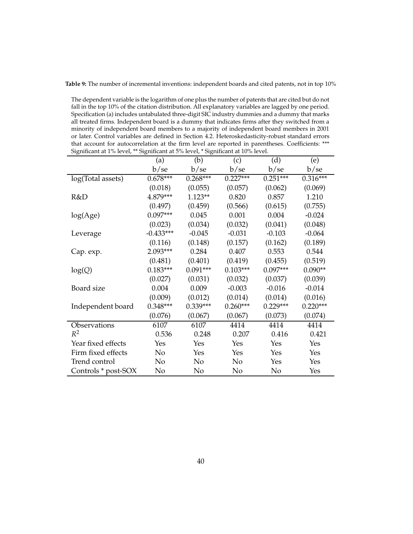**Table 9:** The number of incremental inventions: independent boards and cited patents, not in top 10%

The dependent variable is the logarithm of one plus the number of patents that are cited but do not fall in the top 10% of the citation distribution. All explanatory variables are lagged by one period. Specification (a) includes untabulated three-digit SIC industry dummies and a dummy that marks all treated firms. Independent board is a dummy that indicates firms after they switched from a minority of independent board members to a majority of independent board members in 2001 or later. Control variables are defined in Section 4.2. Heteroskedasticity-robust standard errors that account for autocorrelation at the firm level are reported in parentheses. Coefficients: \*\*\* Significant at 1% level, \*\* Significant at 5% level, \* Significant at 10% level.

|                     | (a)         | (b)        | (c)        | (d)        | (e)        |
|---------------------|-------------|------------|------------|------------|------------|
|                     | b/se        | b/se       | b/se       | b/se       | b/se       |
| log(Total assets)   | $0.678***$  | $0.268***$ | $0.227***$ | $0.251***$ | $0.316***$ |
|                     | (0.018)     | (0.055)    | (0.057)    | (0.062)    | (0.069)    |
| R&D                 | 4.879***    | $1.123**$  | 0.820      | 0.857      | 1.210      |
|                     | (0.497)     | (0.459)    | (0.566)    | (0.615)    | (0.755)    |
| log(Age)            | $0.097***$  | 0.045      | 0.001      | 0.004      | $-0.024$   |
|                     | (0.023)     | (0.034)    | (0.032)    | (0.041)    | (0.048)    |
| Leverage            | $-0.433***$ | $-0.045$   | $-0.031$   | $-0.103$   | $-0.064$   |
|                     | (0.116)     | (0.148)    | (0.157)    | (0.162)    | (0.189)    |
| Cap. exp.           | $2.093***$  | 0.284      | 0.407      | 0.553      | 0.544      |
|                     | (0.481)     | (0.401)    | (0.419)    | (0.455)    | (0.519)    |
| log(Q)              | $0.183***$  | $0.091***$ | $0.103***$ | $0.097***$ | $0.090**$  |
|                     | (0.027)     | (0.031)    | (0.032)    | (0.037)    | (0.039)    |
| Board size          | 0.004       | 0.009      | $-0.003$   | $-0.016$   | $-0.014$   |
|                     | (0.009)     | (0.012)    | (0.014)    | (0.014)    | (0.016)    |
| Independent board   | $0.348***$  | $0.339***$ | $0.260***$ | $0.229***$ | $0.220***$ |
|                     | (0.076)     | (0.067)    | (0.067)    | (0.073)    | (0.074)    |
| Observations        | 6107        | 6107       | 4414       | 4414       | 4414       |
| $R^2$               | 0.536       | 0.248      | 0.207      | 0.416      | 0.421      |
| Year fixed effects  | Yes         | Yes        | Yes        | Yes        | Yes        |
| Firm fixed effects  | No          | Yes        | Yes        | Yes        | Yes        |
| Trend control       | No          | No         | No         | Yes        | Yes        |
| Controls * post-SOX | No          | No         | No         | No         | Yes        |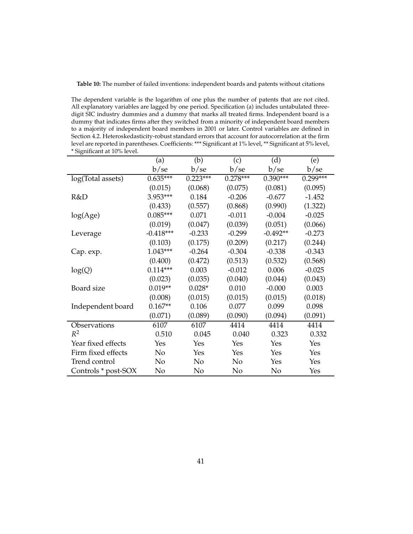**Table 10:** The number of failed inventions: independent boards and patents without citations

The dependent variable is the logarithm of one plus the number of patents that are not cited. All explanatory variables are lagged by one period. Specification (a) includes untabulated threedigit SIC industry dummies and a dummy that marks all treated firms. Independent board is a dummy that indicates firms after they switched from a minority of independent board members to a majority of independent board members in 2001 or later. Control variables are defined in Section 4.2. Heteroskedasticity-robust standard errors that account for autocorrelation at the firm level are reported in parentheses. Coefficients: \*\*\* Significant at 1% level, \*\* Significant at 5% level, \* Significant at 10% level.

|                     | (a)         | (b)        | (c)        | (d)        | (e)        |
|---------------------|-------------|------------|------------|------------|------------|
|                     | b/se        | b/se       | b/se       | b/se       | b/se       |
| log(Total assets)   | $0.635***$  | $0.223***$ | $0.278***$ | $0.390***$ | $0.299***$ |
|                     | (0.015)     | (0.068)    | (0.075)    | (0.081)    | (0.095)    |
| R&D                 | 3.953***    | 0.184      | $-0.206$   | $-0.677$   | $-1.452$   |
|                     | (0.433)     | (0.557)    | (0.868)    | (0.990)    | (1.322)    |
| log(Age)            | $0.085***$  | 0.071      | $-0.011$   | $-0.004$   | $-0.025$   |
|                     | (0.019)     | (0.047)    | (0.039)    | (0.051)    | (0.066)    |
| Leverage            | $-0.418***$ | $-0.233$   | $-0.299$   | $-0.492**$ | $-0.273$   |
|                     | (0.103)     | (0.175)    | (0.209)    | (0.217)    | (0.244)    |
| Cap. exp.           | $1.043***$  | $-0.264$   | $-0.304$   | $-0.338$   | $-0.343$   |
|                     | (0.400)     | (0.472)    | (0.513)    | (0.532)    | (0.568)    |
| log(Q)              | $0.114***$  | 0.003      | $-0.012$   | 0.006      | $-0.025$   |
|                     | (0.023)     | (0.035)    | (0.040)    | (0.044)    | (0.043)    |
| Board size          | $0.019**$   | $0.028*$   | 0.010      | $-0.000$   | 0.003      |
|                     | (0.008)     | (0.015)    | (0.015)    | (0.015)    | (0.018)    |
| Independent board   | $0.167**$   | 0.106      | 0.077      | 0.099      | 0.098      |
|                     | (0.071)     | (0.089)    | (0.090)    | (0.094)    | (0.091)    |
| Observations        | 6107        | 6107       | 4414       | 4414       | 4414       |
| $R^2$               | 0.510       | 0.045      | 0.040      | 0.323      | 0.332      |
| Year fixed effects  | Yes         | Yes        | Yes        | Yes        | Yes        |
| Firm fixed effects  | No          | Yes        | Yes        | Yes        | Yes        |
| Trend control       | No          | No         | No         | Yes        | Yes        |
| Controls * post-SOX | No          | No         | No         | No         | Yes        |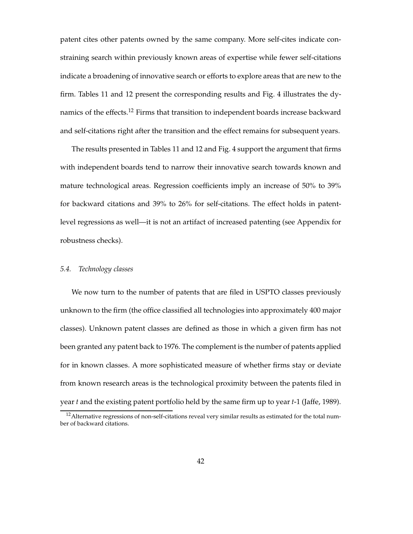patent cites other patents owned by the same company. More self-cites indicate constraining search within previously known areas of expertise while fewer self-citations indicate a broadening of innovative search or efforts to explore areas that are new to the firm. Tables 11 and 12 present the corresponding results and Fig. 4 illustrates the dynamics of the effects.<sup>12</sup> Firms that transition to independent boards increase backward and self-citations right after the transition and the effect remains for subsequent years.

The results presented in Tables 11 and 12 and Fig. 4 support the argument that firms with independent boards tend to narrow their innovative search towards known and mature technological areas. Regression coefficients imply an increase of 50% to 39% for backward citations and 39% to 26% for self-citations. The effect holds in patentlevel regressions as well—it is not an artifact of increased patenting (see Appendix for robustness checks).

## *5.4. Technology classes*

We now turn to the number of patents that are filed in USPTO classes previously unknown to the firm (the office classified all technologies into approximately 400 major classes). Unknown patent classes are defined as those in which a given firm has not been granted any patent back to 1976. The complement is the number of patents applied for in known classes. A more sophisticated measure of whether firms stay or deviate from known research areas is the technological proximity between the patents filed in year *t* and the existing patent portfolio held by the same firm up to year *t*-1 (Jaffe, 1989).

<sup>&</sup>lt;sup>12</sup> Alternative regressions of non-self-citations reveal very similar results as estimated for the total number of backward citations.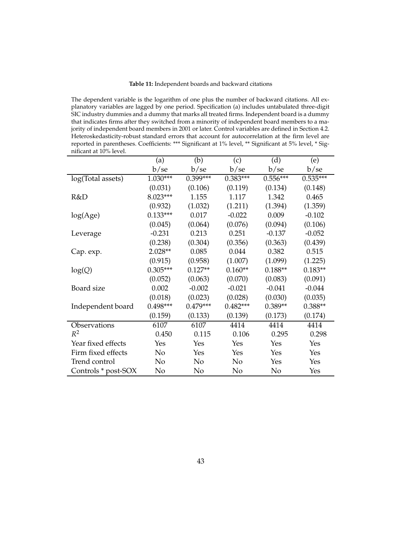## **Table 11:** Independent boards and backward citations

The dependent variable is the logarithm of one plus the number of backward citations. All explanatory variables are lagged by one period. Specification (a) includes untabulated three-digit SIC industry dummies and a dummy that marks all treated firms. Independent board is a dummy that indicates firms after they switched from a minority of independent board members to a majority of independent board members in 2001 or later. Control variables are defined in Section 4.2. Heteroskedasticity-robust standard errors that account for autocorrelation at the firm level are reported in parentheses. Coefficients: \*\*\* Significant at 1% level, \*\* Significant at 5% level, \* Significant at 10% level.

|                     | (a)        | (b)        | (c)        | (d)        | (e)        |
|---------------------|------------|------------|------------|------------|------------|
|                     | b/se       | b/se       | b/se       | b/se       | b/se       |
| log(Total assets)   | $1.030***$ | $0.399***$ | $0.383***$ | $0.556***$ | $0.535***$ |
|                     | (0.031)    | (0.106)    | (0.119)    | (0.134)    | (0.148)    |
| R&D                 | 8.023***   | 1.155      | 1.117      | 1.342      | 0.465      |
|                     | (0.932)    | (1.032)    | (1.211)    | (1.394)    | (1.359)    |
| log(Age)            | $0.133***$ | 0.017      | $-0.022$   | 0.009      | $-0.102$   |
|                     | (0.045)    | (0.064)    | (0.076)    | (0.094)    | (0.106)    |
| Leverage            | $-0.231$   | 0.213      | 0.251      | $-0.137$   | $-0.052$   |
|                     | (0.238)    | (0.304)    | (0.356)    | (0.363)    | (0.439)    |
| Cap. exp.           | $2.028**$  | 0.085      | 0.044      | 0.382      | 0.515      |
|                     | (0.915)    | (0.958)    | (1.007)    | (1.099)    | (1.225)    |
| log(Q)              | $0.305***$ | $0.127**$  | $0.160**$  | $0.188**$  | $0.183**$  |
|                     | (0.052)    | (0.063)    | (0.070)    | (0.083)    | (0.091)    |
| Board size          | 0.002      | $-0.002$   | $-0.021$   | $-0.041$   | $-0.044$   |
|                     | (0.018)    | (0.023)    | (0.028)    | (0.030)    | (0.035)    |
| Independent board   | $0.498***$ | $0.479***$ | $0.482***$ | $0.389**$  | $0.388**$  |
|                     | (0.159)    | (0.133)    | (0.139)    | (0.173)    | (0.174)    |
| Observations        | 6107       | 6107       | 4414       | 4414       | 4414       |
| $R^2$               | 0.450      | 0.115      | 0.106      | 0.295      | 0.298      |
| Year fixed effects  | Yes        | Yes        | Yes        | Yes        | Yes        |
| Firm fixed effects  | No         | Yes        | Yes        | Yes        | Yes        |
| Trend control       | No         | No         | No         | Yes        | Yes        |
| Controls * post-SOX | No         | No         | No         | No         | Yes        |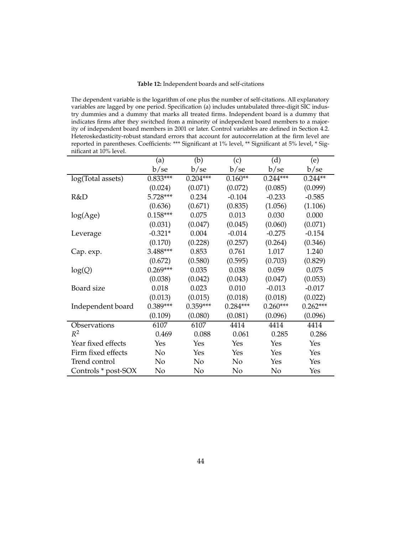## **Table 12:** Independent boards and self-citations

The dependent variable is the logarithm of one plus the number of self-citations. All explanatory variables are lagged by one period. Specification (a) includes untabulated three-digit SIC industry dummies and a dummy that marks all treated firms. Independent board is a dummy that indicates firms after they switched from a minority of independent board members to a majority of independent board members in 2001 or later. Control variables are defined in Section 4.2. Heteroskedasticity-robust standard errors that account for autocorrelation at the firm level are reported in parentheses. Coefficients: \*\*\* Significant at 1% level, \*\* Significant at 5% level, \* Significant at 10% level.

|                     | (a)        | (b)        | (c)            | (d)        | (e)        |
|---------------------|------------|------------|----------------|------------|------------|
|                     | b/se       | b/se       | b/se           | b/se       | b/se       |
| log(Total assets)   | $0.833***$ | $0.204***$ | $0.160**$      | $0.244***$ | $0.244**$  |
|                     | (0.024)    | (0.071)    | (0.072)        | (0.085)    | (0.099)    |
| R&D                 | 5.728***   | 0.234      | $-0.104$       | $-0.233$   | $-0.585$   |
|                     | (0.636)    | (0.671)    | (0.835)        | (1.056)    | (1.106)    |
| log(Age)            | $0.158***$ | 0.075      | 0.013          | 0.030      | 0.000      |
|                     | (0.031)    | (0.047)    | (0.045)        | (0.060)    | (0.071)    |
| Leverage            | $-0.321*$  | 0.004      | $-0.014$       | $-0.275$   | $-0.154$   |
|                     | (0.170)    | (0.228)    | (0.257)        | (0.264)    | (0.346)    |
| Cap. exp.           | 3.488***   | 0.853      | 0.761          | 1.017      | 1.240      |
|                     | (0.672)    | (0.580)    | (0.595)        | (0.703)    | (0.829)    |
| log(Q)              | $0.269***$ | 0.035      | 0.038          | 0.059      | 0.075      |
|                     | (0.038)    | (0.042)    | (0.043)        | (0.047)    | (0.053)    |
| Board size          | 0.018      | 0.023      | 0.010          | $-0.013$   | $-0.017$   |
|                     | (0.013)    | (0.015)    | (0.018)        | (0.018)    | (0.022)    |
| Independent board   | $0.389***$ | $0.359***$ | $0.284***$     | $0.260***$ | $0.262***$ |
|                     | (0.109)    | (0.080)    | (0.081)        | (0.096)    | (0.096)    |
| Observations        | 6107       | 6107       | 4414           | 4414       | 4414       |
| $R^2$               | 0.469      | 0.088      | 0.061          | 0.285      | 0.286      |
| Year fixed effects  | Yes        | Yes        | Yes            | Yes        | Yes        |
| Firm fixed effects  | No         | Yes        | Yes            | Yes        | Yes        |
| Trend control       | No         | No         | N <sub>0</sub> | Yes        | Yes        |
| Controls * post-SOX | No         | No         | No             | No         | Yes        |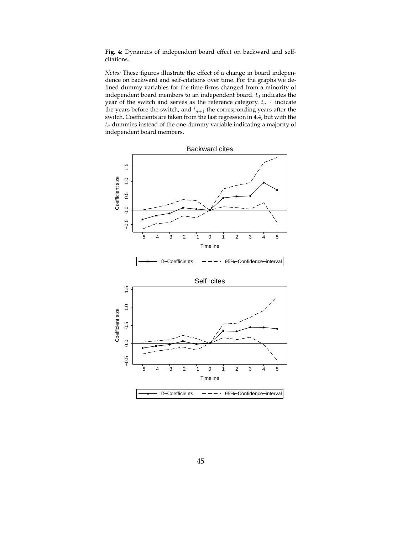**Fig. 4:** Dynamics of independent board effect on backward and selfcitations.

*Notes:* These figures illustrate the effect of a change in board independence on backward and self-citations over time. For the graphs we defined dummy variables for the time firms changed from a minority of independent board members to an independent board.  $t_0$  indicates the year of the switch and serves as the reference category. *tn*−<sup>1</sup> indicate the years before the switch, and  $t_{n+1}$  the corresponding years after the switch. Coefficients are taken from the last regression in 4.4, but with the *tn* dummies instead of the one dummy variable indicating a majority of independent board members.

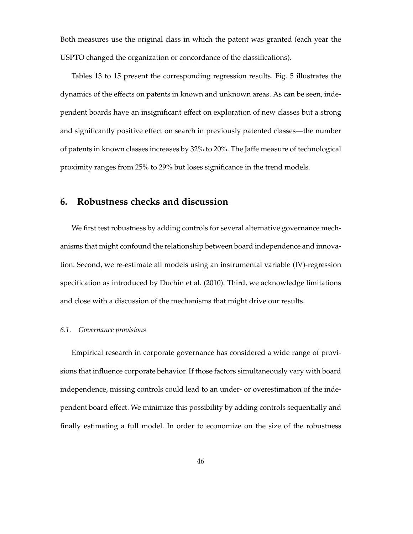Both measures use the original class in which the patent was granted (each year the USPTO changed the organization or concordance of the classifications).

Tables 13 to 15 present the corresponding regression results. Fig. 5 illustrates the dynamics of the effects on patents in known and unknown areas. As can be seen, independent boards have an insignificant effect on exploration of new classes but a strong and significantly positive effect on search in previously patented classes—the number of patents in known classes increases by 32% to 20%. The Jaffe measure of technological proximity ranges from 25% to 29% but loses significance in the trend models.

## **6. Robustness checks and discussion**

We first test robustness by adding controls for several alternative governance mechanisms that might confound the relationship between board independence and innovation. Second, we re-estimate all models using an instrumental variable (IV)-regression specification as introduced by Duchin et al. (2010). Third, we acknowledge limitations and close with a discussion of the mechanisms that might drive our results.

## *6.1. Governance provisions*

Empirical research in corporate governance has considered a wide range of provisions that influence corporate behavior. If those factors simultaneously vary with board independence, missing controls could lead to an under- or overestimation of the independent board effect. We minimize this possibility by adding controls sequentially and finally estimating a full model. In order to economize on the size of the robustness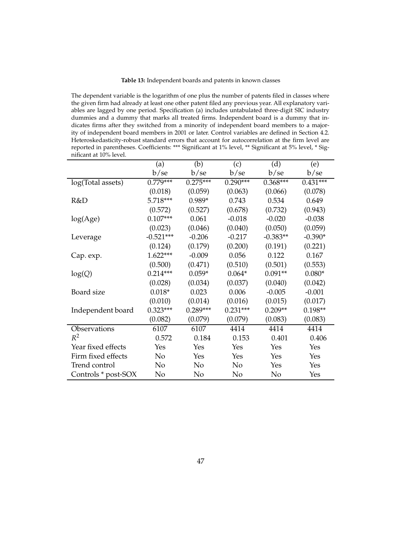**Table 13:** Independent boards and patents in known classes

The dependent variable is the logarithm of one plus the number of patents filed in classes where the given firm had already at least one other patent filed any previous year. All explanatory variables are lagged by one period. Specification (a) includes untabulated three-digit SIC industry dummies and a dummy that marks all treated firms. Independent board is a dummy that indicates firms after they switched from a minority of independent board members to a majority of independent board members in 2001 or later. Control variables are defined in Section 4.2. Heteroskedasticity-robust standard errors that account for autocorrelation at the firm level are reported in parentheses. Coefficients: \*\*\* Significant at 1% level, \*\* Significant at 5% level, \* Significant at 10% level.

|                     | (a)         | (b)        | (c)        | (d)        | (e)        |
|---------------------|-------------|------------|------------|------------|------------|
|                     | b/se        | b/se       | b/sec      | b/se       | b/se       |
| log(Total assets)   | $0.779***$  | $0.275***$ | $0.290***$ | $0.368***$ | $0.431***$ |
|                     | (0.018)     | (0.059)    | (0.063)    | (0.066)    | (0.078)    |
| R&D                 | 5.718***    | $0.989*$   | 0.743      | 0.534      | 0.649      |
|                     | (0.572)     | (0.527)    | (0.678)    | (0.732)    | (0.943)    |
| log(Age)            | $0.107***$  | 0.061      | $-0.018$   | $-0.020$   | $-0.038$   |
|                     | (0.023)     | (0.046)    | (0.040)    | (0.050)    | (0.059)    |
| Leverage            | $-0.521***$ | $-0.206$   | $-0.217$   | $-0.383**$ | $-0.390*$  |
|                     | (0.124)     | (0.179)    | (0.200)    | (0.191)    | (0.221)    |
| Cap. exp.           | $1.622***$  | $-0.009$   | 0.056      | 0.122      | 0.167      |
|                     | (0.500)     | (0.471)    | (0.510)    | (0.501)    | (0.553)    |
| log(Q)              | $0.214***$  | $0.059*$   | $0.064*$   | $0.091**$  | $0.080*$   |
|                     | (0.028)     | (0.034)    | (0.037)    | (0.040)    | (0.042)    |
| Board size          | $0.018*$    | 0.023      | 0.006      | $-0.005$   | $-0.001$   |
|                     | (0.010)     | (0.014)    | (0.016)    | (0.015)    | (0.017)    |
| Independent board   | $0.323***$  | $0.289***$ | $0.231***$ | $0.209**$  | $0.198**$  |
|                     | (0.082)     | (0.079)    | (0.079)    | (0.083)    | (0.083)    |
| Observations        | 6107        | 6107       | 4414       | 4414       | 4414       |
| $R^2$               | 0.572       | 0.184      | 0.153      | 0.401      | 0.406      |
| Year fixed effects  | Yes         | Yes        | Yes        | Yes        | Yes        |
| Firm fixed effects  | No          | Yes        | Yes        | Yes        | Yes        |
| Trend control       | No          | No         | No         | Yes        | Yes        |
| Controls * post-SOX | No          | No         | No         | No         | Yes        |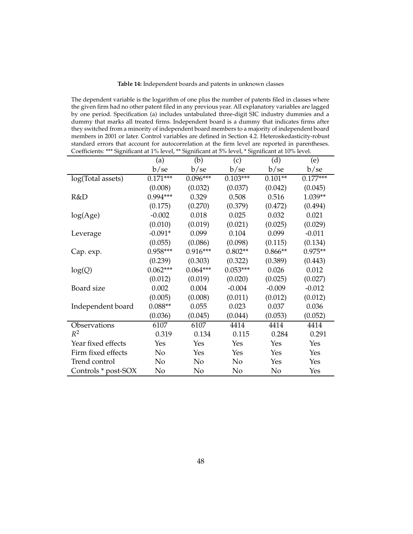## **Table 14:** Independent boards and patents in unknown classes

The dependent variable is the logarithm of one plus the number of patents filed in classes where the given firm had no other patent filed in any previous year. All explanatory variables are lagged by one period. Specification (a) includes untabulated three-digit SIC industry dummies and a dummy that marks all treated firms. Independent board is a dummy that indicates firms after they switched from a minority of independent board members to a majority of independent board members in 2001 or later. Control variables are defined in Section 4.2. Heteroskedasticity-robust standard errors that account for autocorrelation at the firm level are reported in parentheses. Coefficients: \*\*\* Significant at 1% level, \*\* Significant at 5% level, \* Significant at 10% level.

|                     | (a)        | ◡<br>(b)   | (c)        | (d)       | (e)        |
|---------------------|------------|------------|------------|-----------|------------|
|                     | b/se       | b/sec      | b/se       | b/sec     | b/se       |
| log(Total assets)   | $0.171***$ | $0.096***$ | $0.103***$ | $0.101**$ | $0.177***$ |
|                     | (0.008)    | (0.032)    | (0.037)    | (0.042)   | (0.045)    |
| R&D                 | $0.994***$ | 0.329      | 0.508      | 0.516     | 1.039**    |
|                     | (0.175)    | (0.270)    | (0.379)    | (0.472)   | (0.494)    |
| log(Age)            | $-0.002$   | 0.018      | 0.025      | 0.032     | 0.021      |
|                     | (0.010)    | (0.019)    | (0.021)    | (0.025)   | (0.029)    |
| Leverage            | $-0.091*$  | 0.099      | 0.104      | 0.099     | $-0.011$   |
|                     | (0.055)    | (0.086)    | (0.098)    | (0.115)   | (0.134)    |
| Cap. exp.           | 0.958***   | $0.916***$ | $0.802**$  | $0.866**$ | $0.975**$  |
|                     | (0.239)    | (0.303)    | (0.322)    | (0.389)   | (0.443)    |
| log(Q)              | $0.062***$ | $0.064***$ | $0.053***$ | 0.026     | 0.012      |
|                     | (0.012)    | (0.019)    | (0.020)    | (0.025)   | (0.027)    |
| Board size          | 0.002      | 0.004      | $-0.004$   | $-0.009$  | $-0.012$   |
|                     | (0.005)    | (0.008)    | (0.011)    | (0.012)   | (0.012)    |
| Independent board   | $0.088**$  | 0.055      | 0.023      | 0.037     | 0.036      |
|                     | (0.036)    | (0.045)    | (0.044)    | (0.053)   | (0.052)    |
| Observations        | 6107       | 6107       | 4414       | 4414      | 4414       |
| $R^2$               | 0.319      | 0.134      | 0.115      | 0.284     | 0.291      |
| Year fixed effects  | Yes        | Yes        | Yes        | Yes       | Yes        |
| Firm fixed effects  | No         | Yes        | Yes        | Yes       | Yes        |
| Trend control       | No         | No         | No         | Yes       | Yes        |
| Controls * post-SOX | No         | No         | No         | No        | Yes        |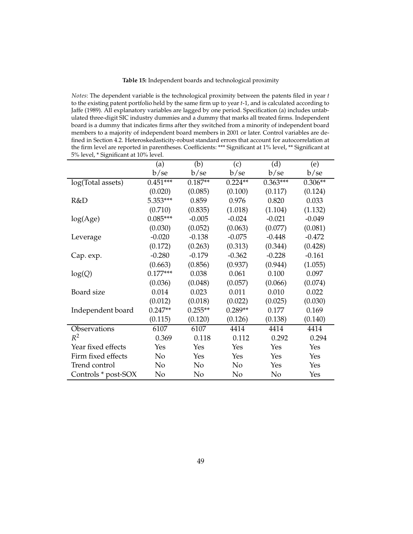**Table 15:** Independent boards and technological proximity

*Notes*: The dependent variable is the technological proximity between the patents filed in year *t* to the existing patent portfolio held by the same firm up to year *t*-1, and is calculated according to Jaffe (1989). All explanatory variables are lagged by one period. Specification (a) includes untabulated three-digit SIC industry dummies and a dummy that marks all treated firms. Independent board is a dummy that indicates firms after they switched from a minority of independent board members to a majority of independent board members in 2001 or later. Control variables are defined in Section 4.2. Heteroskedasticity-robust standard errors that account for autocorrelation at the firm level are reported in parentheses. Coefficients: \*\*\* Significant at 1% level, \*\* Significant at 5% level, \* Significant at 10% level.

|                     | (a)        | (b)       | (c)       | (d)        | (e)       |
|---------------------|------------|-----------|-----------|------------|-----------|
|                     | b/se       | b/se      | b/se      | b/se       | b/se      |
| log(Total assets)   | $0.451***$ | $0.187**$ | $0.224**$ | $0.363***$ | $0.306**$ |
|                     | (0.020)    | (0.085)   | (0.100)   | (0.117)    | (0.124)   |
| R&D                 | 5.353***   | 0.859     | 0.976     | 0.820      | 0.033     |
|                     | (0.710)    | (0.835)   | (1.018)   | (1.104)    | (1.132)   |
| log(Age)            | $0.085***$ | $-0.005$  | $-0.024$  | $-0.021$   | $-0.049$  |
|                     | (0.030)    | (0.052)   | (0.063)   | (0.077)    | (0.081)   |
| Leverage            | $-0.020$   | $-0.138$  | $-0.075$  | $-0.448$   | $-0.472$  |
|                     | (0.172)    | (0.263)   | (0.313)   | (0.344)    | (0.428)   |
| Cap. exp.           | $-0.280$   | $-0.179$  | $-0.362$  | $-0.228$   | $-0.161$  |
|                     | (0.663)    | (0.856)   | (0.937)   | (0.944)    | (1.055)   |
| log(Q)              | $0.177***$ | 0.038     | 0.061     | 0.100      | 0.097     |
|                     | (0.036)    | (0.048)   | (0.057)   | (0.066)    | (0.074)   |
| Board size          | 0.014      | 0.023     | 0.011     | 0.010      | 0.022     |
|                     | (0.012)    | (0.018)   | (0.022)   | (0.025)    | (0.030)   |
| Independent board   | $0.247**$  | $0.255**$ | $0.289**$ | 0.177      | 0.169     |
|                     | (0.115)    | (0.120)   | (0.126)   | (0.138)    | (0.140)   |
| Observations        | 6107       | 6107      | 4414      | 4414       | 4414      |
| $R^2$               | 0.369      | 0.118     | 0.112     | 0.292      | 0.294     |
| Year fixed effects  | Yes        | Yes       | Yes       | Yes        | Yes       |
| Firm fixed effects  | No         | Yes       | Yes       | Yes        | Yes       |
| Trend control       | No         | No        | No        | Yes        | Yes       |
| Controls * post-SOX | No         | No        | No        | No         | Yes       |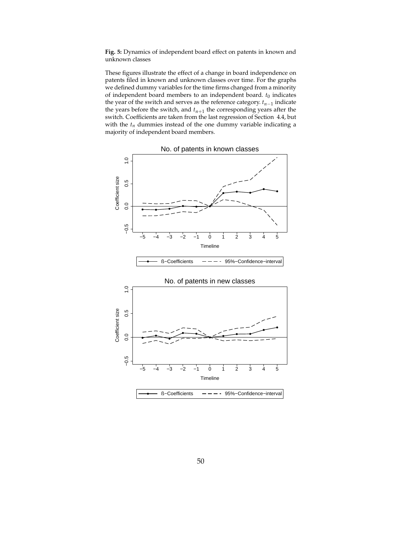**Fig. 5:** Dynamics of independent board effect on patents in known and unknown classes

These figures illustrate the effect of a change in board independence on patents filed in known and unknown classes over time. For the graphs we defined dummy variables for the time firms changed from a minority of independent board members to an independent board.  $t_0$  indicates the year of the switch and serves as the reference category. *tn*−<sup>1</sup> indicate the years before the switch, and  $t_{n+1}$  the corresponding years after the switch. Coefficients are taken from the last regression of Section 4.4, but with the  $t_n$  dummies instead of the one dummy variable indicating a majority of independent board members.



No. of patents in known classes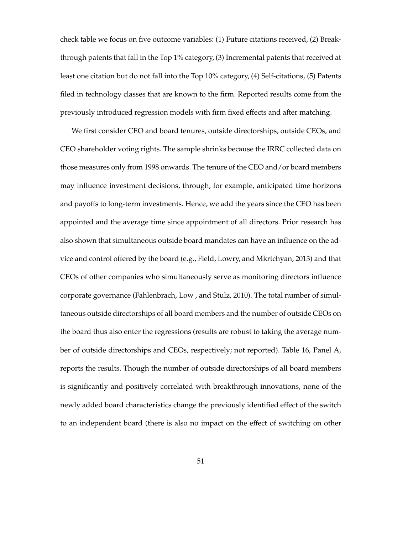check table we focus on five outcome variables: (1) Future citations received, (2) Breakthrough patents that fall in the Top 1% category, (3) Incremental patents that received at least one citation but do not fall into the Top 10% category, (4) Self-citations, (5) Patents filed in technology classes that are known to the firm. Reported results come from the previously introduced regression models with firm fixed effects and after matching.

We first consider CEO and board tenures, outside directorships, outside CEOs, and CEO shareholder voting rights. The sample shrinks because the IRRC collected data on those measures only from 1998 onwards. The tenure of the CEO and/or board members may influence investment decisions, through, for example, anticipated time horizons and payoffs to long-term investments. Hence, we add the years since the CEO has been appointed and the average time since appointment of all directors. Prior research has also shown that simultaneous outside board mandates can have an influence on the advice and control offered by the board (e.g., Field, Lowry, and Mkrtchyan, 2013) and that CEOs of other companies who simultaneously serve as monitoring directors influence corporate governance (Fahlenbrach, Low , and Stulz, 2010). The total number of simultaneous outside directorships of all board members and the number of outside CEOs on the board thus also enter the regressions (results are robust to taking the average number of outside directorships and CEOs, respectively; not reported). Table 16, Panel A, reports the results. Though the number of outside directorships of all board members is significantly and positively correlated with breakthrough innovations, none of the newly added board characteristics change the previously identified effect of the switch to an independent board (there is also no impact on the effect of switching on other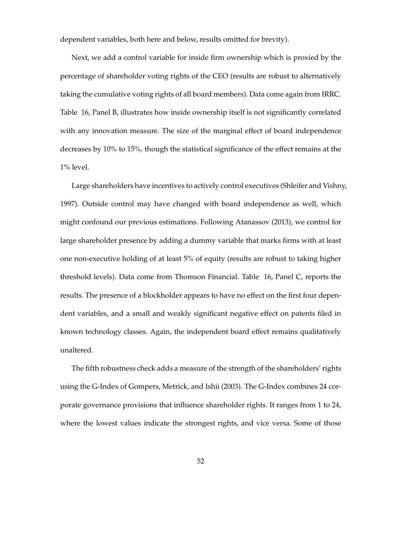dependent variables, both here and below, results omitted for brevity).

Next, we add a control variable for inside firm ownership which is proxied by the percentage of shareholder voting rights of the CEO (results are robust to alternatively taking the cumulative voting rights of all board members). Data come again from IRRC. Table 16, Panel B, illustrates how inside ownership itself is not significantly correlated with any innovation measure. The size of the marginal effect of board independence decreases by 10% to 15%, though the statistical significance of the effect remains at the 1% level.

Large shareholders have incentives to actively control executives (Shleifer and Vishny, 1997). Outside control may have changed with board independence as well, which might confound our previous estimations. Following Atanassov (2013), we control for large shareholder presence by adding a dummy variable that marks firms with at least one non-executive holding of at least 5% of equity (results are robust to taking higher threshold levels). Data come from Thomson Financial. Table 16, Panel C, reports the results. The presence of a blockholder appears to have no effect on the first four dependent variables, and a small and weakly significant negative effect on patents filed in known technology classes. Again, the independent board effect remains qualitatively unaltered.

The fifth robustness check adds a measure of the strength of the shareholders' rights using the G-Index of Gompers, Metrick, and Ishii (2003). The G-Index combines 24 corporate governance provisions that influence shareholder rights. It ranges from 1 to 24, where the lowest values indicate the strongest rights, and vice versa. Some of those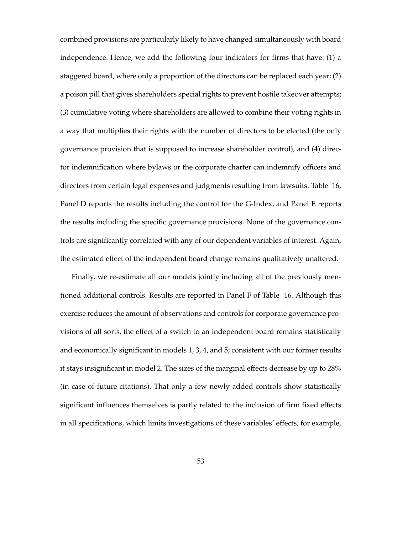combined provisions are particularly likely to have changed simultaneously with board independence. Hence, we add the following four indicators for firms that have: (1) a staggered board, where only a proportion of the directors can be replaced each year; (2) a poison pill that gives shareholders special rights to prevent hostile takeover attempts; (3) cumulative voting where shareholders are allowed to combine their voting rights in a way that multiplies their rights with the number of directors to be elected (the only governance provision that is supposed to increase shareholder control), and (4) director indemnification where bylaws or the corporate charter can indemnify officers and directors from certain legal expenses and judgments resulting from lawsuits. Table 16, Panel D reports the results including the control for the G-Index, and Panel E reports the results including the specific governance provisions. None of the governance controls are significantly correlated with any of our dependent variables of interest. Again, the estimated effect of the independent board change remains qualitatively unaltered.

Finally, we re-estimate all our models jointly including all of the previously mentioned additional controls. Results are reported in Panel F of Table 16. Although this exercise reduces the amount of observations and controls for corporate governance provisions of all sorts, the effect of a switch to an independent board remains statistically and economically significant in models 1, 3, 4, and 5; consistent with our former results it stays insignificant in model 2. The sizes of the marginal effects decrease by up to 28% (in case of future citations). That only a few newly added controls show statistically significant influences themselves is partly related to the inclusion of firm fixed effects in all specifications, which limits investigations of these variables' effects, for example,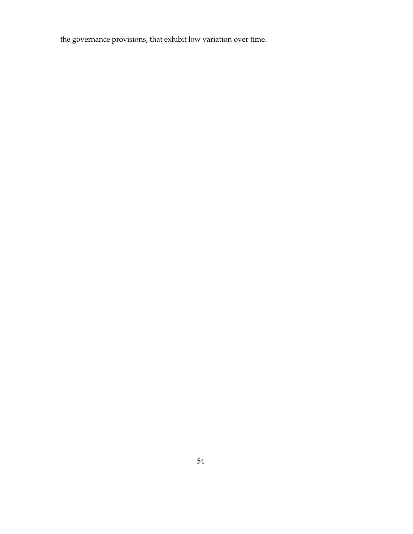the governance provisions, that exhibit low variation over time.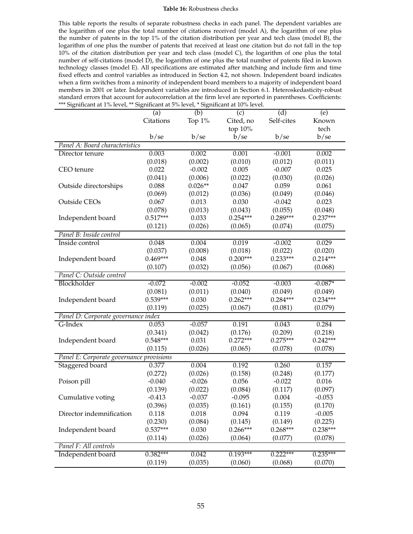#### **Table 16:** Robustness checks

This table reports the results of separate robustness checks in each panel. The dependent variables are the logarithm of one plus the total number of citations received (model A), the logarithm of one plus the number of patents in the top 1% of the citation distribution per year and tech class (model B), the logarithm of one plus the number of patents that received at least one citation but do not fall in the top 10% of the citation distribution per year and tech class (model C), the logarithm of one plus the total number of self-citations (model D), the logarithm of one plus the total number of patents filed in known technology classes (model E). All specifications are estimated after matching and include firm and time fixed effects and control variables as introduced in Section 4.2, not shown. Independent board indicates when a firm switches from a minority of independent board members to a majority of independent board members in 2001 or later. Independent variables are introduced in Section 6.1. Heteroskedasticity-robust standard errors that account for autocorrelation at the firm level are reported in parentheses. Coefficients: \*\*\* Significant at 1% level, \*\* Significant at 5% level, \* Significant at 10% level.

|                                          | (a)        | (b)       | (c)        | (d)        | (e)        |
|------------------------------------------|------------|-----------|------------|------------|------------|
|                                          | Citations  | Top 1%    | Cited, no  | Self-cites | Known      |
|                                          |            |           | top 10%    |            | tech       |
|                                          | b/se       | b/se      | b/se       | b/se       | b/se       |
| Panel A: Board characteristics           |            |           |            |            |            |
| Director tenure                          | 0.003      | 0.002     | 0.001      | $-0.001$   | 0.002      |
|                                          | (0.018)    | (0.002)   | (0.010)    | (0.012)    | (0.011)    |
| CEO tenure                               | 0.022      | $-0.002$  | 0.005      | $-0.007$   | 0.025      |
|                                          | (0.041)    | (0.006)   | (0.022)    | (0.030)    | (0.026)    |
| Outside directorships                    | 0.088      | $0.026**$ | 0.047      | 0.059      | 0.061      |
|                                          | (0.069)    | (0.012)   | (0.036)    | (0.049)    | (0.046)    |
| Outside CEOs                             | 0.067      | 0.013     | 0.030      | $-0.042$   | 0.023      |
|                                          | (0.078)    | (0.013)   | (0.043)    | (0.055)    | (0.048)    |
| Independent board                        | $0.517***$ | 0.033     | $0.254***$ | $0.289***$ | $0.237***$ |
|                                          | (0.121)    | (0.026)   | (0.065)    | (0.074)    | (0.075)    |
| Panel B: Inside control                  |            |           |            |            |            |
| Inside control                           | 0.048      | 0.004     | 0.019      | $-0.002$   | 0.029      |
|                                          | (0.037)    | (0.008)   | (0.018)    | (0.022)    | (0.020)    |
| Independent board                        | $0.469***$ | 0.048     | $0.200***$ | $0.233***$ | $0.214***$ |
|                                          | (0.107)    | (0.032)   | (0.056)    | (0.067)    | (0.068)    |
| Panel C: Outside control                 |            |           |            |            |            |
| Blockholder                              | $-0.072$   | $-0.002$  | $-0.052$   | $-0.003$   | $-0.087*$  |
|                                          | (0.081)    | (0.011)   | (0.040)    | (0.049)    | (0.049)    |
| Independent board                        | $0.539***$ | 0.030     | $0.262***$ | $0.284***$ | $0.234***$ |
|                                          | (0.119)    | (0.025)   | (0.067)    | (0.081)    | (0.079)    |
| Panel D: Corporate governance index      |            |           |            |            |            |
| G-Index                                  | 0.053      | $-0.057$  | 0.191      | 0.043      | 0.284      |
|                                          | (0.341)    | (0.042)   | (0.176)    | (0.209)    | (0.218)    |
| Independent board                        | $0.548***$ | 0.031     | $0.272***$ | $0.275***$ | $0.242***$ |
|                                          | (0.115)    | (0.026)   | (0.065)    | (0.078)    | (0.078)    |
| Panel E: Corporate governance provisions |            |           |            |            |            |
| Staggered board                          | 0.377      | 0.004     | 0.192      | 0.260      | 0.157      |
|                                          | (0.272)    | (0.026)   | (0.158)    | (0.248)    | (0.177)    |
| Poison pill                              | $-0.040$   | $-0.026$  | 0.056      | $-0.022$   | 0.016      |
|                                          | (0.139)    | (0.022)   | (0.084)    | (0.117)    | (0.097)    |
| Cumulative voting                        | $-0.413$   | $-0.037$  | $-0.095$   | 0.004      | $-0.053$   |
|                                          | (0.396)    | (0.035)   | (0.161)    | (0.155)    | (0.170)    |
| Director indemnification                 | 0.118      | 0.018     | 0.094      | 0.119      | $-0.005$   |
|                                          | (0.230)    | (0.084)   | (0.145)    | (0.149)    | (0.225)    |
| Independent board                        | $0.537***$ | 0.030     | $0.266***$ | $0.268***$ | $0.238***$ |
|                                          | (0.114)    | (0.026)   | (0.064)    | (0.077)    | (0.078)    |
| Panel F: All controls                    |            |           |            |            |            |
| Independent board                        | $0.382***$ | 0.042     | $0.193***$ | $0.222***$ | $0.235***$ |
|                                          | (0.119)    | (0.035)   | (0.060)    | (0.068)    | (0.070)    |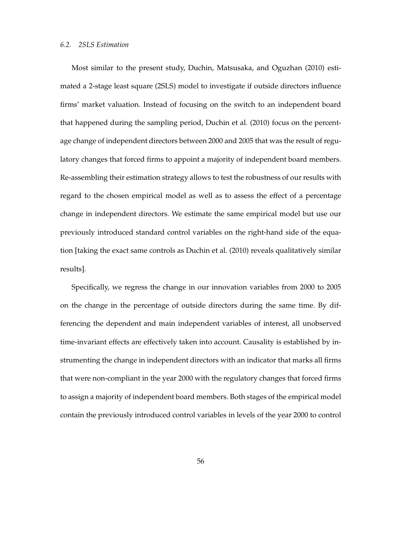Most similar to the present study, Duchin, Matsusaka, and Oguzhan (2010) estimated a 2-stage least square (2SLS) model to investigate if outside directors influence firms' market valuation. Instead of focusing on the switch to an independent board that happened during the sampling period, Duchin et al. (2010) focus on the percentage change of independent directors between 2000 and 2005 that was the result of regulatory changes that forced firms to appoint a majority of independent board members. Re-assembling their estimation strategy allows to test the robustness of our results with regard to the chosen empirical model as well as to assess the effect of a percentage change in independent directors. We estimate the same empirical model but use our previously introduced standard control variables on the right-hand side of the equation [taking the exact same controls as Duchin et al. (2010) reveals qualitatively similar results].

Specifically, we regress the change in our innovation variables from 2000 to 2005 on the change in the percentage of outside directors during the same time. By differencing the dependent and main independent variables of interest, all unobserved time-invariant effects are effectively taken into account. Causality is established by instrumenting the change in independent directors with an indicator that marks all firms that were non-compliant in the year 2000 with the regulatory changes that forced firms to assign a majority of independent board members. Both stages of the empirical model contain the previously introduced control variables in levels of the year 2000 to control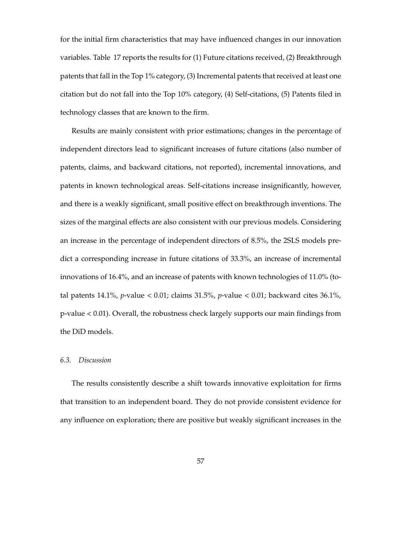for the initial firm characteristics that may have influenced changes in our innovation variables. Table 17 reports the results for (1) Future citations received, (2) Breakthrough patents that fall in the Top 1% category, (3) Incremental patents that received at least one citation but do not fall into the Top 10% category, (4) Self-citations, (5) Patents filed in technology classes that are known to the firm.

Results are mainly consistent with prior estimations; changes in the percentage of independent directors lead to significant increases of future citations (also number of patents, claims, and backward citations, not reported), incremental innovations, and patents in known technological areas. Self-citations increase insignificantly, however, and there is a weakly significant, small positive effect on breakthrough inventions. The sizes of the marginal effects are also consistent with our previous models. Considering an increase in the percentage of independent directors of 8.5%, the 2SLS models predict a corresponding increase in future citations of 33.3%, an increase of incremental innovations of 16.4%, and an increase of patents with known technologies of 11.0% (total patents 14.1%, *p*-value < 0.01; claims 31.5%, *p*-value < 0.01; backward cites 36.1%, p-value < 0.01). Overall, the robustness check largely supports our main findings from the DiD models.

## *6.3. Discussion*

The results consistently describe a shift towards innovative exploitation for firms that transition to an independent board. They do not provide consistent evidence for any influence on exploration; there are positive but weakly significant increases in the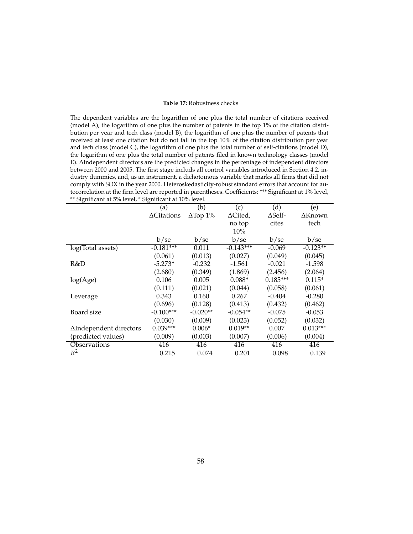#### **Table 17:** Robustness checks

The dependent variables are the logarithm of one plus the total number of citations received (model A), the logarithm of one plus the number of patents in the top 1% of the citation distribution per year and tech class (model B), the logarithm of one plus the number of patents that received at least one citation but do not fall in the top 10% of the citation distribution per year and tech class (model C), the logarithm of one plus the total number of self-citations (model D), the logarithm of one plus the total number of patents filed in known technology classes (model E). ∆Independent directors are the predicted changes in the percentage of independent directors between 2000 and 2005. The first stage includs all control variables introduced in Section 4.2, industry dummies, and, as an instrument, a dichotomous variable that marks all firms that did not comply with SOX in the year 2000. Heteroskedasticity-robust standard errors that account for autocorrelation at the firm level are reported in parentheses. Coefficients: \*\*\* Significant at 1% level, \*\* Significant at 5% level, \* Significant at 10% level.

|                        | (a)                | (b)             | (c)         | (d)            | (e)        |
|------------------------|--------------------|-----------------|-------------|----------------|------------|
|                        | $\Delta$ Citations | $\Delta$ Top 1% | ∆Cited,     | $\Delta$ Self- | ∆Known     |
|                        |                    |                 | no top      | cites          | tech       |
|                        |                    |                 | 10%         |                |            |
|                        | b/se               | b/se            | b/se        | b/se           | b/se       |
| log(Total assets)      | $-0.181***$        | 0.011           | $-0.143***$ | $-0.069$       | $-0.123**$ |
|                        | (0.061)            | (0.013)         | (0.027)     | (0.049)        | (0.045)    |
| R&D                    | $-5.273*$          | $-0.232$        | $-1.561$    | $-0.021$       | $-1.598$   |
|                        | (2.680)            | (0.349)         | (1.869)     | (2.456)        | (2.064)    |
| log(Age)               | 0.106              | 0.005           | $0.088*$    | $0.185***$     | $0.115*$   |
|                        | (0.111)            | (0.021)         | (0.044)     | (0.058)        | (0.061)    |
| Leverage               | 0.343              | 0.160           | 0.267       | $-0.404$       | $-0.280$   |
|                        | (0.696)            | (0.128)         | (0.413)     | (0.432)        | (0.462)    |
| Board size             | $-0.100***$        | $-0.020**$      | $-0.054**$  | $-0.075$       | $-0.053$   |
|                        | (0.030)            | (0.009)         | (0.023)     | (0.052)        | (0.032)    |
| ∆Independent directors | $0.039***$         | $0.006*$        | $0.019**$   | 0.007          | $0.013***$ |
| (predicted values)     | (0.009)            | (0.003)         | (0.007)     | (0.006)        | (0.004)    |
| Observations           | 416                | 416             | 416         | 416            | 416        |
| $R^2$                  | 0.215              | 0.074           | 0.201       | 0.098          | 0.139      |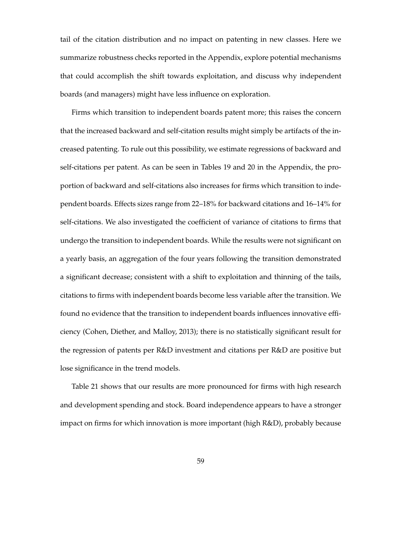tail of the citation distribution and no impact on patenting in new classes. Here we summarize robustness checks reported in the Appendix, explore potential mechanisms that could accomplish the shift towards exploitation, and discuss why independent boards (and managers) might have less influence on exploration.

Firms which transition to independent boards patent more; this raises the concern that the increased backward and self-citation results might simply be artifacts of the increased patenting. To rule out this possibility, we estimate regressions of backward and self-citations per patent. As can be seen in Tables 19 and 20 in the Appendix, the proportion of backward and self-citations also increases for firms which transition to independent boards. Effects sizes range from 22–18% for backward citations and 16–14% for self-citations. We also investigated the coefficient of variance of citations to firms that undergo the transition to independent boards. While the results were not significant on a yearly basis, an aggregation of the four years following the transition demonstrated a significant decrease; consistent with a shift to exploitation and thinning of the tails, citations to firms with independent boards become less variable after the transition. We found no evidence that the transition to independent boards influences innovative efficiency (Cohen, Diether, and Malloy, 2013); there is no statistically significant result for the regression of patents per R&D investment and citations per R&D are positive but lose significance in the trend models.

Table 21 shows that our results are more pronounced for firms with high research and development spending and stock. Board independence appears to have a stronger impact on firms for which innovation is more important (high R&D), probably because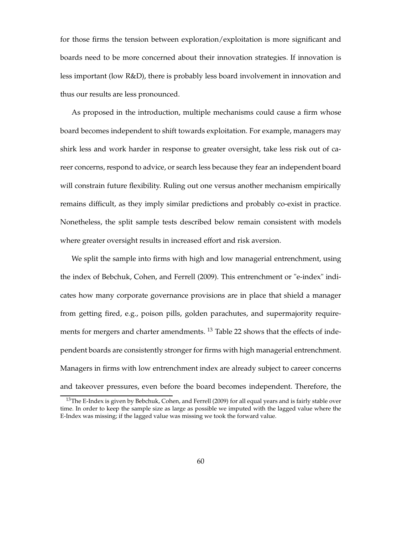for those firms the tension between exploration/exploitation is more significant and boards need to be more concerned about their innovation strategies. If innovation is less important (low R&D), there is probably less board involvement in innovation and thus our results are less pronounced.

As proposed in the introduction, multiple mechanisms could cause a firm whose board becomes independent to shift towards exploitation. For example, managers may shirk less and work harder in response to greater oversight, take less risk out of career concerns, respond to advice, or search less because they fear an independent board will constrain future flexibility. Ruling out one versus another mechanism empirically remains difficult, as they imply similar predictions and probably co-exist in practice. Nonetheless, the split sample tests described below remain consistent with models where greater oversight results in increased effort and risk aversion.

We split the sample into firms with high and low managerial entrenchment, using the index of Bebchuk, Cohen, and Ferrell (2009). This entrenchment or "e-index" indicates how many corporate governance provisions are in place that shield a manager from getting fired, e.g., poison pills, golden parachutes, and supermajority requirements for mergers and charter amendments.<sup>13</sup> Table 22 shows that the effects of independent boards are consistently stronger for firms with high managerial entrenchment. Managers in firms with low entrenchment index are already subject to career concerns and takeover pressures, even before the board becomes independent. Therefore, the

 $13$ The E-Index is given by Bebchuk, Cohen, and Ferrell (2009) for all equal years and is fairly stable over time. In order to keep the sample size as large as possible we imputed with the lagged value where the E-Index was missing; if the lagged value was missing we took the forward value.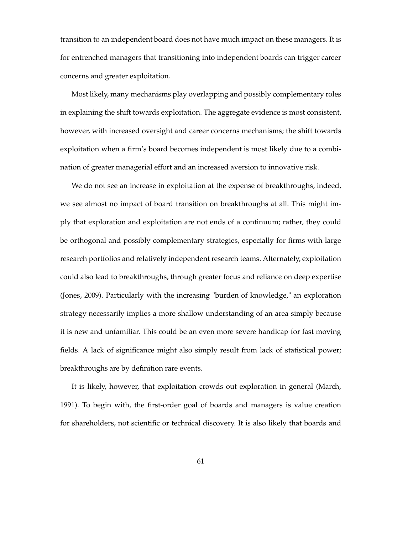transition to an independent board does not have much impact on these managers. It is for entrenched managers that transitioning into independent boards can trigger career concerns and greater exploitation.

Most likely, many mechanisms play overlapping and possibly complementary roles in explaining the shift towards exploitation. The aggregate evidence is most consistent, however, with increased oversight and career concerns mechanisms; the shift towards exploitation when a firm's board becomes independent is most likely due to a combination of greater managerial effort and an increased aversion to innovative risk.

We do not see an increase in exploitation at the expense of breakthroughs, indeed, we see almost no impact of board transition on breakthroughs at all. This might imply that exploration and exploitation are not ends of a continuum; rather, they could be orthogonal and possibly complementary strategies, especially for firms with large research portfolios and relatively independent research teams. Alternately, exploitation could also lead to breakthroughs, through greater focus and reliance on deep expertise (Jones, 2009). Particularly with the increasing "burden of knowledge," an exploration strategy necessarily implies a more shallow understanding of an area simply because it is new and unfamiliar. This could be an even more severe handicap for fast moving fields. A lack of significance might also simply result from lack of statistical power; breakthroughs are by definition rare events.

It is likely, however, that exploitation crowds out exploration in general (March, 1991). To begin with, the first-order goal of boards and managers is value creation for shareholders, not scientific or technical discovery. It is also likely that boards and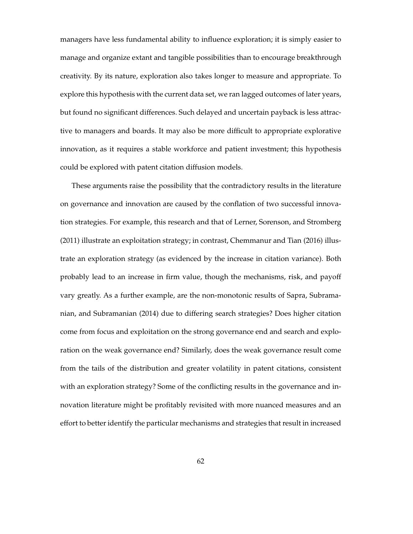managers have less fundamental ability to influence exploration; it is simply easier to manage and organize extant and tangible possibilities than to encourage breakthrough creativity. By its nature, exploration also takes longer to measure and appropriate. To explore this hypothesis with the current data set, we ran lagged outcomes of later years, but found no significant differences. Such delayed and uncertain payback is less attractive to managers and boards. It may also be more difficult to appropriate explorative innovation, as it requires a stable workforce and patient investment; this hypothesis could be explored with patent citation diffusion models.

These arguments raise the possibility that the contradictory results in the literature on governance and innovation are caused by the conflation of two successful innovation strategies. For example, this research and that of Lerner, Sorenson, and Stromberg (2011) illustrate an exploitation strategy; in contrast, Chemmanur and Tian (2016) illustrate an exploration strategy (as evidenced by the increase in citation variance). Both probably lead to an increase in firm value, though the mechanisms, risk, and payoff vary greatly. As a further example, are the non-monotonic results of Sapra, Subramanian, and Subramanian (2014) due to differing search strategies? Does higher citation come from focus and exploitation on the strong governance end and search and exploration on the weak governance end? Similarly, does the weak governance result come from the tails of the distribution and greater volatility in patent citations, consistent with an exploration strategy? Some of the conflicting results in the governance and innovation literature might be profitably revisited with more nuanced measures and an effort to better identify the particular mechanisms and strategies that result in increased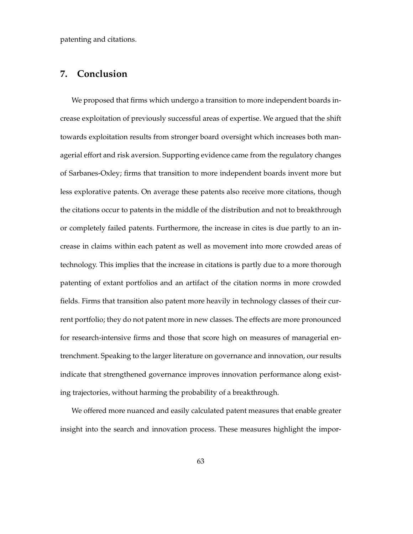patenting and citations.

## **7. Conclusion**

We proposed that firms which undergo a transition to more independent boards increase exploitation of previously successful areas of expertise. We argued that the shift towards exploitation results from stronger board oversight which increases both managerial effort and risk aversion. Supporting evidence came from the regulatory changes of Sarbanes-Oxley; firms that transition to more independent boards invent more but less explorative patents. On average these patents also receive more citations, though the citations occur to patents in the middle of the distribution and not to breakthrough or completely failed patents. Furthermore, the increase in cites is due partly to an increase in claims within each patent as well as movement into more crowded areas of technology. This implies that the increase in citations is partly due to a more thorough patenting of extant portfolios and an artifact of the citation norms in more crowded fields. Firms that transition also patent more heavily in technology classes of their current portfolio; they do not patent more in new classes. The effects are more pronounced for research-intensive firms and those that score high on measures of managerial entrenchment. Speaking to the larger literature on governance and innovation, our results indicate that strengthened governance improves innovation performance along existing trajectories, without harming the probability of a breakthrough.

We offered more nuanced and easily calculated patent measures that enable greater insight into the search and innovation process. These measures highlight the impor-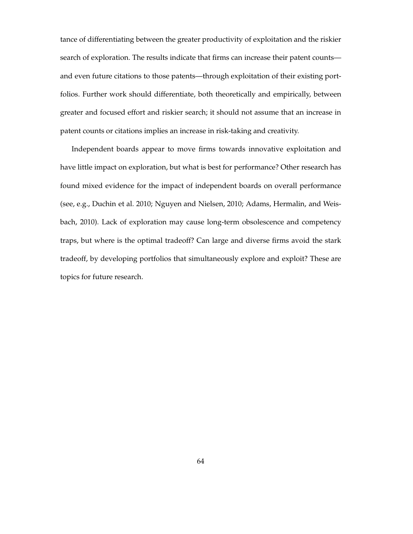tance of differentiating between the greater productivity of exploitation and the riskier search of exploration. The results indicate that firms can increase their patent counts and even future citations to those patents—through exploitation of their existing portfolios. Further work should differentiate, both theoretically and empirically, between greater and focused effort and riskier search; it should not assume that an increase in patent counts or citations implies an increase in risk-taking and creativity.

Independent boards appear to move firms towards innovative exploitation and have little impact on exploration, but what is best for performance? Other research has found mixed evidence for the impact of independent boards on overall performance (see, e.g., Duchin et al. 2010; Nguyen and Nielsen, 2010; Adams, Hermalin, and Weisbach, 2010). Lack of exploration may cause long-term obsolescence and competency traps, but where is the optimal tradeoff? Can large and diverse firms avoid the stark tradeoff, by developing portfolios that simultaneously explore and exploit? These are topics for future research.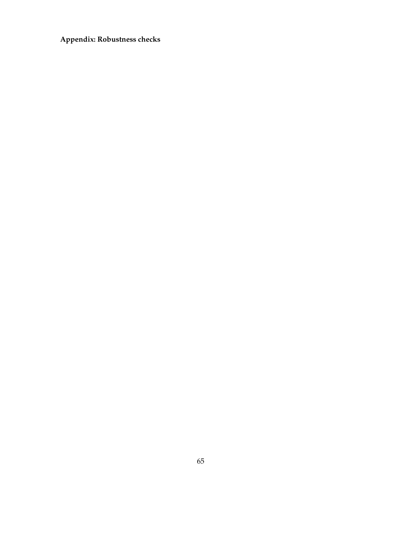# **Appendix: Robustness checks**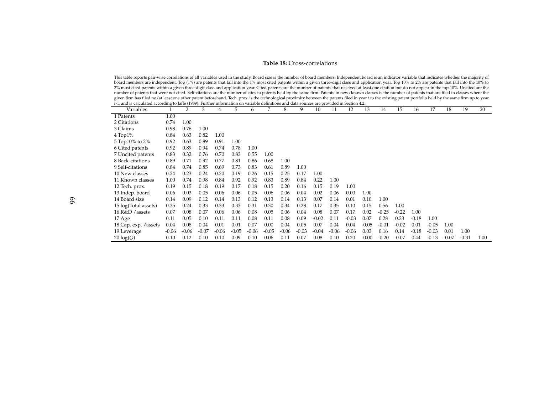#### **Table 18:** Cross-correlations

This table reports pair-wise correlations of all variables used in the study. Board size is the number of board members. Independent board is an indicator variable that indicates whether the majority of board members are independent. Top (1%) are patents that fall into the 1% most cited patents within <sup>a</sup> given three-digit class and application year. Top 10% to 2% are patents that fall into the 10% to 2% most cited patents within <sup>a</sup> given three-digit class and application year. Cited patents are the number of patents that received at least one citation but do not appear in the top 10%. Uncited are thenumber of patents that were not cited. Self-citations are the number of cites to patents held by the same firm. Patents in new/known classes is the number of patents that are filed in classes where the given firm has filed no/at least one other patent beforehand. Tech. prox. is the technological proximity between the patents filed in year *<sup>t</sup>* to the existing patent portfolio held by the same firm up to year *<sup>t</sup>*-1, and is calculated according to Jaffe (1989). Further information on variable definitions and data sources are provided in Section 4.2.

| Variables             |         | $\overline{2}$ | 3       | 4       | 5       | 6       | 7       | 8       | 9       | 10      | 11      | 12      | 13      | 14      | 15      | 16      | 17      | 18      | 19      | 20   |
|-----------------------|---------|----------------|---------|---------|---------|---------|---------|---------|---------|---------|---------|---------|---------|---------|---------|---------|---------|---------|---------|------|
| 1 Patents             | 1.00    |                |         |         |         |         |         |         |         |         |         |         |         |         |         |         |         |         |         |      |
| 2 Citations           | 0.74    | 1.00           |         |         |         |         |         |         |         |         |         |         |         |         |         |         |         |         |         |      |
| 3 Claims              | 0.98    | 0.76           | 1.00    |         |         |         |         |         |         |         |         |         |         |         |         |         |         |         |         |      |
| $4$ Top $1\%$         | 0.84    | 0.63           | 0.82    | 1.00    |         |         |         |         |         |         |         |         |         |         |         |         |         |         |         |      |
| 5 Top10% to 2%        | 0.92    | 0.63           | 0.89    | 0.91    | 1.00    |         |         |         |         |         |         |         |         |         |         |         |         |         |         |      |
| 6 Cited patents       | 0.92    | 0.89           | 0.94    | 0.74    | 0.78    | 1.00    |         |         |         |         |         |         |         |         |         |         |         |         |         |      |
| 7 Uncited patents     | 0.83    | 0.32           | 0.76    | 0.70    | 0.83    | 0.55    | 1.00    |         |         |         |         |         |         |         |         |         |         |         |         |      |
| 8 Back-citations      | 0.89    | 0.71           | 0.92    | 0.77    | 0.81    | 0.86    | 0.68    | 1.00    |         |         |         |         |         |         |         |         |         |         |         |      |
| 9 Self-citations      | 0.84    | 0.74           | 0.85    | 0.69    | 0.73    | 0.83    | 0.61    | 0.89    | 1.00    |         |         |         |         |         |         |         |         |         |         |      |
| 10 New classes        | 0.24    | 0.23           | 0.24    | 0.20    | 0.19    | 0.26    | 0.15    | 0.25    | 0.17    | 1.00    |         |         |         |         |         |         |         |         |         |      |
| 11 Known classes      | 1.00    | 0.74           | 0.98    | 0.84    | 0.92    | 0.92    | 0.83    | 0.89    | 0.84    | 0.22    | 1.00    |         |         |         |         |         |         |         |         |      |
| 12 Tech. prox.        | 0.19    | 0.15           | 0.18    | 0.19    | 0.17    | 0.18    | 0.15    | 0.20    | 0.16    | 0.15    | 0.19    | 1.00    |         |         |         |         |         |         |         |      |
| 13 Indep. board       | 0.06    | 0.03           | 0.05    | 0.06    | 0.06    | 0.05    | 0.06    | 0.06    | 0.04    | 0.02    | 0.06    | 0.00    | 1.00    |         |         |         |         |         |         |      |
| 14 Board size         | 0.14    | 0.09           | 0.12    | 0.14    | 0.13    | 0.12    | 0.13    | 0.14    | 0.13    | 0.07    | 0.14    | 0.01    | 0.10    | 1.00    |         |         |         |         |         |      |
| 15 log(Total assets)  | 0.35    | 0.24           | 0.33    | 0.33    | 0.33    | 0.31    | 0.30    | 0.34    | 0.28    | 0.17    | 0.35    | 0.10    | 0.15    | 0.56    | 1.00    |         |         |         |         |      |
| 16 R&D / assets       | 0.07    | 0.08           | 0.07    | 0.06    | 0.06    | 0.08    | 0.05    | 0.06    | 0.04    | 0.08    | 0.07    | 0.17    | 0.02    | $-0.25$ | $-0.22$ | 1.00    |         |         |         |      |
| 17 Age                | 0.11    | 0.05           | 0.10    | 0.11    | 0.11    | 0.08    | 0.11    | 0.08    | 0.09    | $-0.02$ | 0.11    | $-0.03$ | 0.07    | 0.28    | 0.23    | $-0.18$ | 1.00    |         |         |      |
| 18 Cap. exp. / assets | 0.04    | 0.08           | 0.04    | 0.01    | 0.01    | 0.07    | 0.00    | 0.04    | 0.05    | 0.07    | 0.04    | 0.04    | $-0.05$ | $-0.01$ | $-0.02$ | 0.01    | $-0.05$ | 1.00    |         |      |
| 19 Leverage           | $-0.06$ | $-0.06$        | $-0.07$ | $-0.06$ | $-0.05$ | $-0.06$ | $-0.05$ | $-0.06$ | $-0.03$ | $-0.04$ | $-0.06$ | $-0.06$ | 0.03    | 0.16    | 0.14    | $-0.18$ | $-0.03$ | 0.01    | 1.00    |      |
| $20 \log(Q)$          | 0.10    | 0.12           | 0.10    | 0.10    | 0.09    | 0.10    | 0.06    | 0.11    | 0.07    | 0.08    | 0.10    | 0.20    | $-0.00$ | $-0.20$ | $-0.07$ | 0.44    | $-0.13$ | $-0.07$ | $-0.31$ | 1.00 |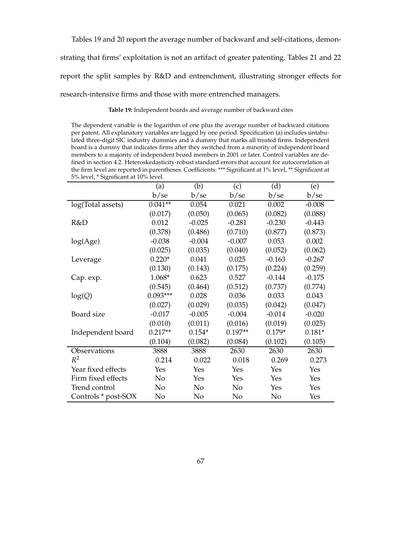Tables 19 and 20 report the average number of backward and self-citations, demon-

strating that firms' exploitation is not an artifact of greater patenting. Tables 21 and 22

report the split samples by R&D and entrenchment, illustrating stronger effects for

research-intensive firms and those with more entrenched managers.

**Table 19:** Independent boards and average number of backward cites

The dependent variable is the logarithm of one plus the average number of backward citations per patent. All explanatory variables are lagged by one period. Specification (a) includes untabulated three-digit SIC industry dummies and a dummy that marks all treated firms. Independent board is a dummy that indicates firms after they switched from a minority of independent board members to a majority of independent board members in 2001 or later. Control variables are defined in section 4.2. Heteroskedasticity-robust standard errors that account for autocorrelation at the firm level are reported in parentheses. Coefficients: \*\*\* Significant at 1% level, \*\* Significant at 5% level, \* Significant at 10% level.

|                     | (a)        | (b)      | (c)       | (d)      | (e)      |
|---------------------|------------|----------|-----------|----------|----------|
|                     | b/se       | b/se     | b/se      | b/se     | b/se     |
| log(Total assets)   | $0.041**$  | 0.054    | 0.021     | 0.002    | $-0.008$ |
|                     | (0.017)    | (0.050)  | (0.065)   | (0.082)  | (0.088)  |
| R&D                 | 0.012      | $-0.025$ | $-0.281$  | $-0.230$ | $-0.443$ |
|                     | (0.378)    | (0.486)  | (0.710)   | (0.877)  | (0.873)  |
| log(Age)            | $-0.038$   | $-0.004$ | $-0.007$  | 0.053    | 0.002    |
|                     | (0.025)    | (0.035)  | (0.040)   | (0.052)  | (0.062)  |
| Leverage            | $0.220*$   | 0.041    | 0.025     | $-0.163$ | $-0.267$ |
|                     | (0.130)    | (0.143)  | (0.175)   | (0.224)  | (0.259)  |
| Cap. exp.           | 1.068*     | 0.623    | 0.527     | $-0.144$ | $-0.175$ |
|                     | (0.545)    | (0.464)  | (0.512)   | (0.737)  | (0.774)  |
| log(Q)              | $0.093***$ | 0.028    | 0.036     | 0.033    | 0.043    |
|                     | (0.027)    | (0.029)  | (0.035)   | (0.042)  | (0.047)  |
| Board size          | $-0.017$   | $-0.005$ | $-0.004$  | $-0.014$ | $-0.020$ |
|                     | (0.010)    | (0.011)  | (0.016)   | (0.019)  | (0.025)  |
| Independent board   | $0.217**$  | $0.154*$ | $0.197**$ | $0.179*$ | $0.181*$ |
|                     | (0.104)    | (0.082)  | (0.084)   | (0.102)  | (0.105)  |
| Observations        | 3888       | 3888     | 2630      | 2630     | 2630     |
| $R^2$               | 0.214      | 0.022    | 0.018     | 0.269    | 0.273    |
| Year fixed effects  | Yes        | Yes      | Yes       | Yes      | Yes      |
| Firm fixed effects  | No         | Yes      | Yes       | Yes      | Yes      |
| Trend control       | No         | No       | No        | Yes      | Yes      |
| Controls * post-SOX | No         | No       | No        | No       | Yes      |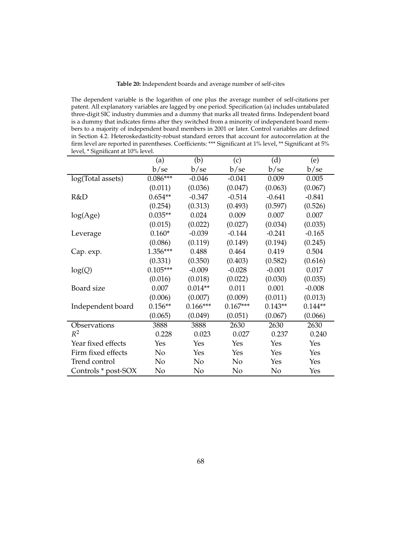## **Table 20:** Independent boards and average number of self-cites

The dependent variable is the logarithm of one plus the average number of self-citations per patent. All explanatory variables are lagged by one period. Specification (a) includes untabulated three-digit SIC industry dummies and a dummy that marks all treated firms. Independent board is a dummy that indicates firms after they switched from a minority of independent board members to a majority of independent board members in 2001 or later. Control variables are defined in Section 4.2. Heteroskedasticity-robust standard errors that account for autocorrelation at the firm level are reported in parentheses. Coefficients: \*\*\* Significant at 1% level, \*\* Significant at 5% level, \* Significant at 10% level.

|                     | (a)        | (b)        | (c)        | (d)       | (e)       |
|---------------------|------------|------------|------------|-----------|-----------|
|                     | b/se       | b/se       | b/se       | b/se      | b/se      |
| log(Total assets)   | $0.086***$ | $-0.046$   | $-0.041$   | 0.009     | 0.005     |
|                     | (0.011)    | (0.036)    | (0.047)    | (0.063)   | (0.067)   |
| R&D                 | $0.654**$  | $-0.347$   | $-0.514$   | $-0.641$  | $-0.841$  |
|                     | (0.254)    | (0.313)    | (0.493)    | (0.597)   | (0.526)   |
| log(Age)            | $0.035**$  | 0.024      | 0.009      | 0.007     | 0.007     |
|                     | (0.015)    | (0.022)    | (0.027)    | (0.034)   | (0.035)   |
| Leverage            | $0.160*$   | $-0.039$   | $-0.144$   | $-0.241$  | $-0.165$  |
|                     | (0.086)    | (0.119)    | (0.149)    | (0.194)   | (0.245)   |
| Cap. exp.           | 1.356***   | 0.488      | 0.464      | 0.419     | 0.504     |
|                     | (0.331)    | (0.350)    | (0.403)    | (0.582)   | (0.616)   |
| log(Q)              | $0.105***$ | $-0.009$   | $-0.028$   | $-0.001$  | 0.017     |
|                     | (0.016)    | (0.018)    | (0.022)    | (0.030)   | (0.035)   |
| Board size          | 0.007      | $0.014**$  | 0.011      | 0.001     | $-0.008$  |
|                     | (0.006)    | (0.007)    | (0.009)    | (0.011)   | (0.013)   |
| Independent board   | $0.156**$  | $0.166***$ | $0.167***$ | $0.143**$ | $0.144**$ |
|                     | (0.065)    | (0.049)    | (0.051)    | (0.067)   | (0.066)   |
| Observations        | 3888       | 3888       | 2630       | 2630      | 2630      |
| $R^2$               | 0.228      | 0.023      | 0.027      | 0.237     | 0.240     |
| Year fixed effects  | Yes        | Yes        | Yes        | Yes       | Yes       |
| Firm fixed effects  | No         | Yes        | Yes        | Yes       | Yes       |
| Trend control       | No         | No         | No         | Yes       | Yes       |
| Controls * post-SOX | No         | No         | No         | No        | Yes       |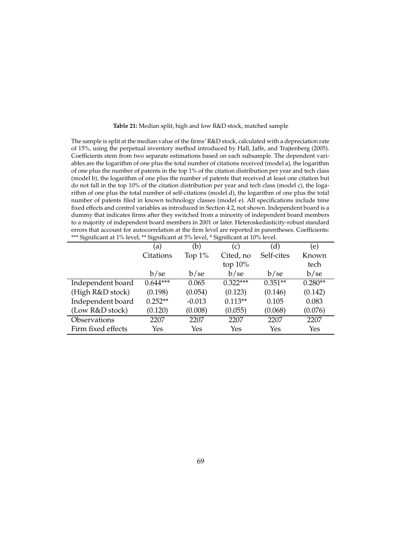| The sample is split at the median value of the firms' R&D stock, calculated with a depreciation rate    |
|---------------------------------------------------------------------------------------------------------|
| of 15%, using the perpetual inventory method introduced by Hall, Jaffe, and Trajtenberg (2005).         |
| Coefficients stem from two separate estimations based on each subsample. The dependent vari-            |
| ables are the logarithm of one plus the total number of citations received (model a), the logarithm     |
| of one plus the number of patents in the top $1\%$ of the citation distribution per year and tech class |
| (model b), the logarithm of one plus the number of patents that received at least one citation but      |
| do not fall in the top 10% of the citation distribution per year and tech class (model c), the loga-    |
| rithm of one plus the total number of self-citations (model d), the logarithm of one plus the total     |
| number of patents filed in known technology classes (model e). All specifications include time          |
| fixed effects and control variables as introduced in Section 4.2, not shown. Independent board is a     |
| dummy that indicates firms after they switched from a minority of independent board members             |
| to a majority of independent board members in 2001 or later. Heteroskedasticity-robust standard         |
| errors that account for autocorrelation at the firm level are reported in parentheses. Coefficients:    |
| *** Significant at 1% level, ** Significant at 5% level, * Significant at 10% level.                    |

**Table 21:** Median split, high and low R&D stock, matched sample

|                    | (a)        | (b)       | (c)        | (d)        | (e)       |
|--------------------|------------|-----------|------------|------------|-----------|
|                    | Citations  | Top $1\%$ | Cited, no  | Self-cites | Known     |
|                    |            |           | top $10\%$ |            | tech      |
|                    | b/sec      | b/sec     | b/se       | b/se       | b/se      |
| Independent board  | $0.644***$ | 0.065     | $0.322***$ | $0.351**$  | $0.280**$ |
| (High R&D stock)   | (0.198)    | (0.054)   | (0.123)    | (0.146)    | (0.142)   |
| Independent board  | $0.252**$  | $-0.013$  | $0.113**$  | 0.105      | 0.083     |
| (Low R&D stock)    | (0.120)    | (0.008)   | (0.055)    | (0.068)    | (0.076)   |
| Observations       | 2207       | 2207      | 2207       | 2207       | 2207      |
| Firm fixed effects | Yes        | Yes       | Yes        | Yes        | Yes       |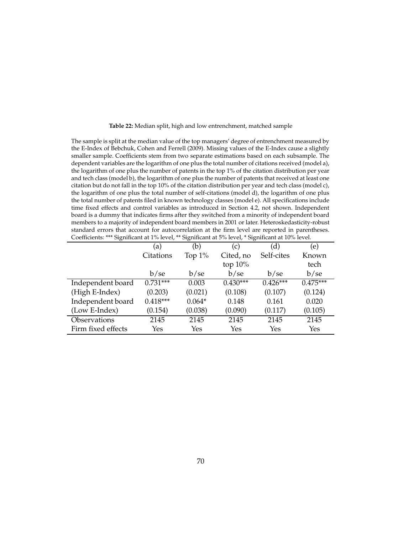| The sample is split at the median value of the top managers' degree of entrenchment measured by         |
|---------------------------------------------------------------------------------------------------------|
| the E-Index of Bebchuk, Cohen and Ferrell (2009). Missing values of the E-Index cause a slightly        |
| smaller sample. Coefficients stem from two separate estimations based on each subsample. The            |
| dependent variables are the logarithm of one plus the total number of citations received (model a),     |
| the logarithm of one plus the number of patents in the top 1% of the citation distribution per year     |
| and tech class (model b), the logarithm of one plus the number of patents that received at least one    |
| citation but do not fall in the top 10% of the citation distribution per year and tech class (model c), |
| the logarithm of one plus the total number of self-citations (model d), the logarithm of one plus       |
| the total number of patents filed in known technology classes (model e). All specifications include     |
| time fixed effects and control variables as introduced in Section 4.2, not shown. Independent           |
| board is a dummy that indicates firms after they switched from a minority of independent board          |
| members to a majority of independent board members in 2001 or later. Heteroskedasticity-robust          |
| standard errors that account for autocorrelation at the firm level are reported in parentheses.         |
| Coefficients: *** Significant at 1% level, ** Significant at 5% level, * Significant at 10% level.      |

|                    | (a)        | (b)       | (c)        | (d)        | (e)        |
|--------------------|------------|-----------|------------|------------|------------|
|                    | Citations  | Top $1\%$ | Cited, no  | Self-cites | Known      |
|                    |            |           | top $10\%$ |            | tech       |
|                    | b/sec      | b/sec     | b/sec      | b/se       | b/se       |
| Independent board  | $0.731***$ | 0.003     | $0.430***$ | $0.426***$ | $0.475***$ |
| (High E-Index)     | (0.203)    | (0.021)   | (0.108)    | (0.107)    | (0.124)    |
| Independent board  | $0.418***$ | $0.064*$  | 0.148      | 0.161      | 0.020      |
| (Low E-Index)      | (0.154)    | (0.038)   | (0.090)    | (0.117)    | (0.105)    |
| Observations       | 2145       | 2145      | 2145       | 2145       | 2145       |
| Firm fixed effects | Yes        | Yes       | Yes        | Yes        | Yes        |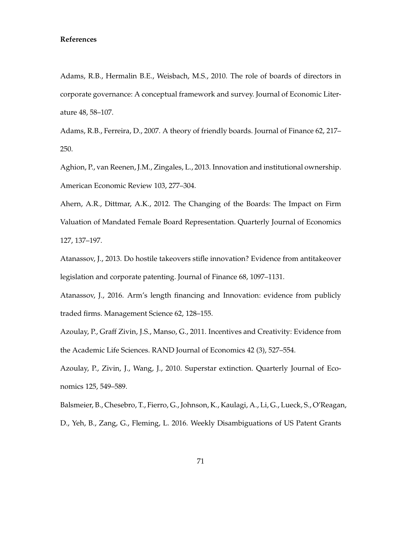## **References**

Adams, R.B., Hermalin B.E., Weisbach, M.S., 2010. The role of boards of directors in corporate governance: A conceptual framework and survey. Journal of Economic Literature 48, 58–107.

Adams, R.B., Ferreira, D., 2007. A theory of friendly boards. Journal of Finance 62, 217– 250.

Aghion, P., van Reenen, J.M., Zingales, L., 2013. Innovation and institutional ownership. American Economic Review 103, 277–304.

Ahern, A.R., Dittmar, A.K., 2012. The Changing of the Boards: The Impact on Firm Valuation of Mandated Female Board Representation. Quarterly Journal of Economics 127, 137–197.

Atanassov, J., 2013. Do hostile takeovers stifle innovation? Evidence from antitakeover legislation and corporate patenting. Journal of Finance 68, 1097–1131.

Atanassov, J., 2016. Arm's length financing and Innovation: evidence from publicly traded firms. Management Science 62, 128–155.

Azoulay, P., Graff Zivin, J.S., Manso, G., 2011. Incentives and Creativity: Evidence from the Academic Life Sciences. RAND Journal of Economics 42 (3), 527–554.

Azoulay, P., Zivin, J., Wang, J., 2010. Superstar extinction. Quarterly Journal of Economics 125, 549–589.

Balsmeier, B., Chesebro, T., Fierro, G., Johnson, K., Kaulagi, A., Li, G., Lueck, S., O'Reagan, D., Yeh, B., Zang, G., Fleming, L. 2016. Weekly Disambiguations of US Patent Grants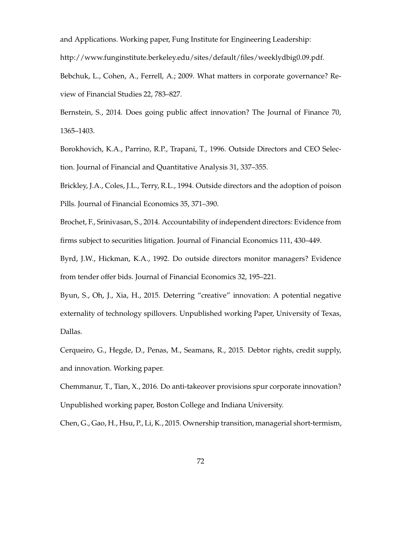and Applications. Working paper, Fung Institute for Engineering Leadership:

http://www.funginstitute.berkeley.edu/sites/default/files/weeklydbig0.09.pdf.

Bebchuk, L., Cohen, A., Ferrell, A.; 2009. What matters in corporate governance? Review of Financial Studies 22, 783–827.

Bernstein, S., 2014. Does going public affect innovation? The Journal of Finance 70, 1365–1403.

Borokhovich, K.A., Parrino, R.P., Trapani, T., 1996. Outside Directors and CEO Selection. Journal of Financial and Quantitative Analysis 31, 337–355.

Brickley, J.A., Coles, J.L., Terry, R.L., 1994. Outside directors and the adoption of poison Pills. Journal of Financial Economics 35, 371–390.

Brochet, F., Srinivasan, S., 2014. Accountability of independent directors: Evidence from firms subject to securities litigation. Journal of Financial Economics 111, 430–449.

Byrd, J.W., Hickman, K.A., 1992. Do outside directors monitor managers? Evidence from tender offer bids. Journal of Financial Economics 32, 195–221.

Byun, S., Oh, J., Xia, H., 2015. Deterring "creative" innovation: A potential negative externality of technology spillovers. Unpublished working Paper, University of Texas, Dallas.

Cerqueiro, G., Hegde, D., Penas, M., Seamans, R., 2015. Debtor rights, credit supply, and innovation. Working paper.

Chemmanur, T., Tian, X., 2016. Do anti-takeover provisions spur corporate innovation? Unpublished working paper, Boston College and Indiana University.

Chen, G., Gao, H., Hsu, P., Li, K., 2015. Ownership transition, managerial short-termism,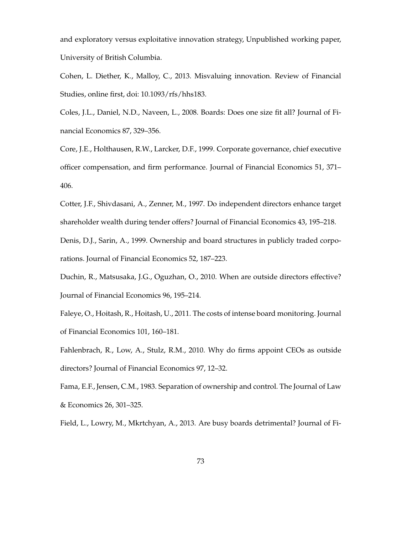and exploratory versus exploitative innovation strategy, Unpublished working paper, University of British Columbia.

Cohen, L. Diether, K., Malloy, C., 2013. Misvaluing innovation. Review of Financial Studies, online first, doi: 10.1093/rfs/hhs183.

Coles, J.L., Daniel, N.D., Naveen, L., 2008. Boards: Does one size fit all? Journal of Financial Economics 87, 329–356.

Core, J.E., Holthausen, R.W., Larcker, D.F., 1999. Corporate governance, chief executive officer compensation, and firm performance. Journal of Financial Economics 51, 371– 406.

Cotter, J.F., Shivdasani, A., Zenner, M., 1997. Do independent directors enhance target shareholder wealth during tender offers? Journal of Financial Economics 43, 195–218. Denis, D.J., Sarin, A., 1999. Ownership and board structures in publicly traded corporations. Journal of Financial Economics 52, 187–223.

Duchin, R., Matsusaka, J.G., Oguzhan, O., 2010. When are outside directors effective? Journal of Financial Economics 96, 195–214.

Faleye, O., Hoitash, R., Hoitash, U., 2011. The costs of intense board monitoring. Journal of Financial Economics 101, 160–181.

Fahlenbrach, R., Low, A., Stulz, R.M., 2010. Why do firms appoint CEOs as outside directors? Journal of Financial Economics 97, 12–32.

Fama, E.F., Jensen, C.M., 1983. Separation of ownership and control. The Journal of Law & Economics 26, 301–325.

Field, L., Lowry, M., Mkrtchyan, A., 2013. Are busy boards detrimental? Journal of Fi-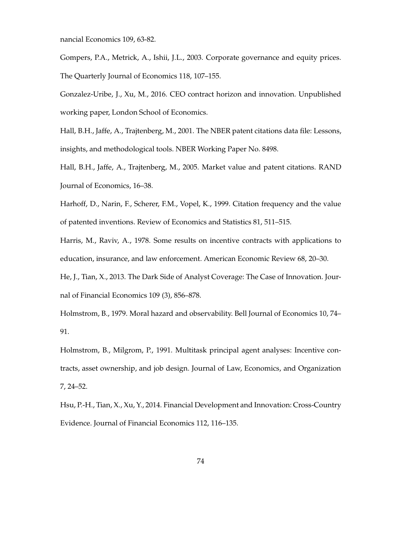nancial Economics 109, 63-82.

Gompers, P.A., Metrick, A., Ishii, J.L., 2003. Corporate governance and equity prices. The Quarterly Journal of Economics 118, 107–155.

Gonzalez-Uribe, J., Xu, M., 2016. CEO contract horizon and innovation. Unpublished working paper, London School of Economics.

Hall, B.H., Jaffe, A., Trajtenberg, M., 2001. The NBER patent citations data file: Lessons, insights, and methodological tools. NBER Working Paper No. 8498.

Hall, B.H., Jaffe, A., Trajtenberg, M., 2005. Market value and patent citations. RAND Journal of Economics, 16–38.

Harhoff, D., Narin, F., Scherer, F.M., Vopel, K., 1999. Citation frequency and the value of patented inventions. Review of Economics and Statistics 81, 511–515.

Harris, M., Raviv, A., 1978. Some results on incentive contracts with applications to education, insurance, and law enforcement. American Economic Review 68, 20–30.

He, J., Tian, X., 2013. The Dark Side of Analyst Coverage: The Case of Innovation. Journal of Financial Economics 109 (3), 856–878.

Holmstrom, B., 1979. Moral hazard and observability. Bell Journal of Economics 10, 74– 91.

Holmstrom, B., Milgrom, P., 1991. Multitask principal agent analyses: Incentive contracts, asset ownership, and job design. Journal of Law, Economics, and Organization 7, 24–52.

Hsu, P.-H., Tian, X., Xu, Y., 2014. Financial Development and Innovation: Cross-Country Evidence. Journal of Financial Economics 112, 116–135.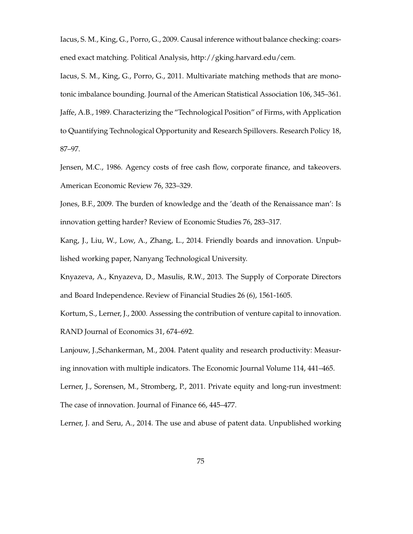Iacus, S. M., King, G., Porro, G., 2009. Causal inference without balance checking: coarsened exact matching. Political Analysis, http://gking.harvard.edu/cem.

Iacus, S. M., King, G., Porro, G., 2011. Multivariate matching methods that are monotonic imbalance bounding. Journal of the American Statistical Association 106, 345–361. Jaffe, A.B., 1989. Characterizing the "Technological Position" of Firms, with Application to Quantifying Technological Opportunity and Research Spillovers. Research Policy 18, 87–97.

Jensen, M.C., 1986. Agency costs of free cash flow, corporate finance, and takeovers. American Economic Review 76, 323–329.

Jones, B.F., 2009. The burden of knowledge and the 'death of the Renaissance man': Is innovation getting harder? Review of Economic Studies 76, 283–317.

Kang, J., Liu, W., Low, A., Zhang, L., 2014. Friendly boards and innovation. Unpublished working paper, Nanyang Technological University.

Knyazeva, A., Knyazeva, D., Masulis, R.W., 2013. The Supply of Corporate Directors and Board Independence. Review of Financial Studies 26 (6), 1561-1605.

Kortum, S., Lerner, J., 2000. Assessing the contribution of venture capital to innovation. RAND Journal of Economics 31, 674–692.

Lanjouw, J.,Schankerman, M., 2004. Patent quality and research productivity: Measuring innovation with multiple indicators. The Economic Journal Volume 114, 441–465. Lerner, J., Sorensen, M., Stromberg, P., 2011. Private equity and long-run investment: The case of innovation. Journal of Finance 66, 445–477.

Lerner, J. and Seru, A., 2014. The use and abuse of patent data. Unpublished working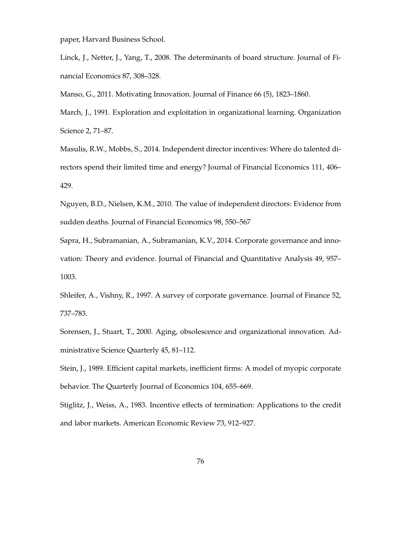paper, Harvard Business School.

Linck, J., Netter, J., Yang, T., 2008. The determinants of board structure. Journal of Financial Economics 87, 308–328.

Manso, G., 2011. Motivating Innovation. Journal of Finance 66 (5), 1823–1860.

March, J., 1991. Exploration and exploitation in organizational learning. Organization Science 2, 71–87.

Masulis, R.W., Mobbs, S., 2014. Independent director incentives: Where do talented directors spend their limited time and energy? Journal of Financial Economics 111, 406– 429.

Nguyen, B.D., Nielsen, K.M., 2010. The value of independent directors: Evidence from sudden deaths. Journal of Financial Economics 98, 550–567

Sapra, H., Subramanian, A., Subramanian, K.V., 2014. Corporate governance and innovation: Theory and evidence. Journal of Financial and Quantitative Analysis 49, 957– 1003.

Shleifer, A., Vishny, R., 1997. A survey of corporate governance. Journal of Finance 52, 737–783.

Sorensen, J., Stuart, T., 2000. Aging, obsolescence and organizational innovation. Administrative Science Quarterly 45, 81–112.

Stein, J., 1989. Efficient capital markets, inefficient firms: A model of myopic corporate behavior. The Quarterly Journal of Economics 104, 655–669.

Stiglitz, J., Weiss, A., 1983. Incentive effects of termination: Applications to the credit and labor markets. American Economic Review 73, 912–927.